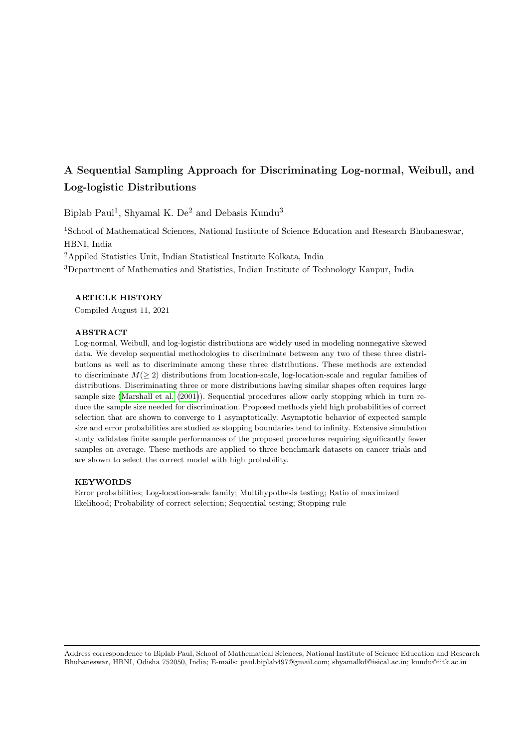# A Sequential Sampling Approach for Discriminating Log-normal, Weibull, and Log-logistic Distributions

Biplab Paul<sup>1</sup>, Shyamal K. De<sup>2</sup> and Debasis Kundu<sup>3</sup>

<sup>1</sup>School of Mathematical Sciences, National Institute of Science Education and Research Bhubaneswar, HBNI, India

<sup>2</sup>Appiled Statistics Unit, Indian Statistical Institute Kolkata, India

<sup>3</sup>Department of Mathematics and Statistics, Indian Institute of Technology Kanpur, India

## ARTICLE HISTORY

Compiled August 11, 2021

#### ABSTRACT

Log-normal, Weibull, and log-logistic distributions are widely used in modeling nonnegative skewed data. We develop sequential methodologies to discriminate between any two of these three distributions as well as to discriminate among these three distributions. These methods are extended to discriminate  $M(\geq 2)$  distributions from location-scale, log-location-scale and regular families of distributions. Discriminating three or more distributions having similar shapes often requires large sample size [\(Marshall et al.](#page-27-0) [\(2001\)](#page-27-0)). Sequential procedures allow early stopping which in turn reduce the sample size needed for discrimination. Proposed methods yield high probabilities of correct selection that are shown to converge to 1 asymptotically. Asymptotic behavior of expected sample size and error probabilities are studied as stopping boundaries tend to infinity. Extensive simulation study validates finite sample performances of the proposed procedures requiring significantly fewer samples on average. These methods are applied to three benchmark datasets on cancer trials and are shown to select the correct model with high probability.

#### KEYWORDS

Error probabilities; Log-location-scale family; Multihypothesis testing; Ratio of maximized likelihood; Probability of correct selection; Sequential testing; Stopping rule

Address correspondence to Biplab Paul, School of Mathematical Sciences, National Institute of Science Education and Research Bhubaneswar, HBNI, Odisha 752050, India; E-mails: paul.biplab497@gmail.com; shyamalkd@isical.ac.in; kundu@iitk.ac.in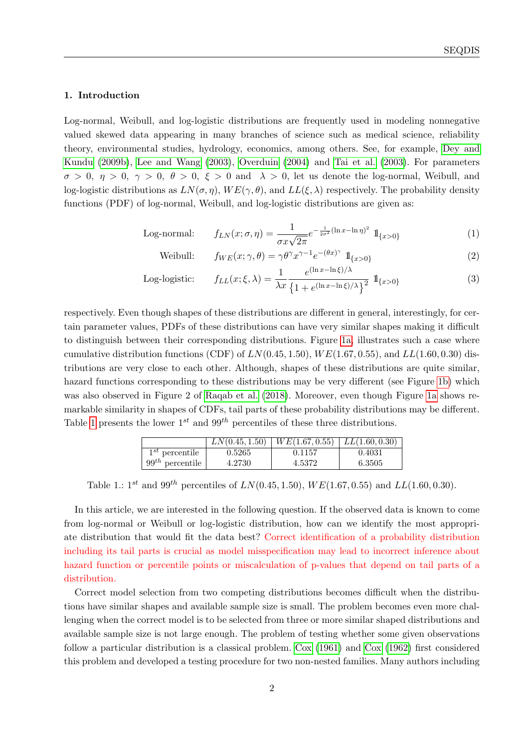## 1. Introduction

Log-normal, Weibull, and log-logistic distributions are frequently used in modeling nonnegative valued skewed data appearing in many branches of science such as medical science, reliability theory, environmental studies, hydrology, economics, among others. See, for example, [Dey and](#page-27-1) [Kundu](#page-27-1) [\(2009b\)](#page-27-1), [Lee and Wang](#page-27-2) [\(2003\)](#page-27-2), [Overduin](#page-28-0) [\(2004\)](#page-28-0) and [Tai et al.](#page-28-1) [\(2003\)](#page-28-1). For parameters  $\sigma > 0$ ,  $\eta > 0$ ,  $\gamma > 0$ ,  $\theta > 0$ ,  $\xi > 0$  and  $\lambda > 0$ , let us denote the log-normal, Weibull, and log-logistic distributions as  $LN(\sigma, \eta)$ ,  $WE(\gamma, \theta)$ , and  $LL(\xi, \lambda)$  respectively. The probability density functions (PDF) of log-normal, Weibull, and log-logistic distributions are given as:

Log-normal: 
$$
f_{LN}(x; \sigma, \eta) = \frac{1}{\sigma x \sqrt{2\pi}} e^{-\frac{1}{2\sigma^2} (\ln x - \ln \eta)^2} \mathbb{1}_{\{x > 0\}}
$$
 (1)

Weibull: 
$$
f_{WE}(x; \gamma, \theta) = \gamma \theta^{\gamma} x^{\gamma - 1} e^{-(\theta x)^{\gamma}} 1\!\!1_{\{x > 0\}}
$$
 (2)

Log-logistic: 
$$
f_{LL}(x;\xi,\lambda) = \frac{1}{\lambda x} \frac{e^{(\ln x - \ln \xi)/\lambda}}{\left\{1 + e^{(\ln x - \ln \xi)/\lambda}\right\}^2} \mathbb{1}_{\{x > 0\}}
$$
(3)

respectively. Even though shapes of these distributions are different in general, interestingly, for certain parameter values, PDFs of these distributions can have very similar shapes making it difficult to distinguish between their corresponding distributions. Figure [1a,](#page-2-0) illustrates such a case where cumulative distribution functions (CDF) of  $LN(0.45, 1.50)$ ,  $WE(1.67, 0.55)$ , and  $LL(1.60, 0.30)$  distributions are very close to each other. Although, shapes of these distributions are quite similar, hazard functions corresponding to these distributions may be very different (see Figure [1b\)](#page-2-1) which was also observed in Figure 2 of [Raqab et al.](#page-28-2) [\(2018\)](#page-28-2). Moreover, even though Figure [1a](#page-2-0) shows remarkable similarity in shapes of CDFs, tail parts of these probability distributions may be different. Table [1](#page-1-0) presents the lower  $1^{st}$  and  $99^{th}$  percentiles of these three distributions.

|                      | LN(0.45, 1.50) | WE(1.67, 0.55)   LL(1.60, 0.30) |        |
|----------------------|----------------|---------------------------------|--------|
| $1^{st}$ percentile  | 0.5265         | 0.1157                          | 0.4031 |
| $99^{th}$ percentile | 4.2730         | 4.5372                          | 6.3505 |

<span id="page-1-0"></span>Table 1.:  $1^{st}$  and  $99^{th}$  percentiles of  $LN(0.45, 1.50)$ ,  $WE(1.67, 0.55)$  and  $LL(1.60, 0.30)$ .

In this article, we are interested in the following question. If the observed data is known to come from log-normal or Weibull or log-logistic distribution, how can we identify the most appropriate distribution that would fit the data best? Correct identification of a probability distribution including its tail parts is crucial as model misspecification may lead to incorrect inference about hazard function or percentile points or miscalculation of p-values that depend on tail parts of a distribution.

Correct model selection from two competing distributions becomes difficult when the distributions have similar shapes and available sample size is small. The problem becomes even more challenging when the correct model is to be selected from three or more similar shaped distributions and available sample size is not large enough. The problem of testing whether some given observations follow a particular distribution is a classical problem. [Cox](#page-27-3) [\(1961\)](#page-27-3) and [Cox](#page-27-4) [\(1962\)](#page-27-4) first considered this problem and developed a testing procedure for two non-nested families. Many authors including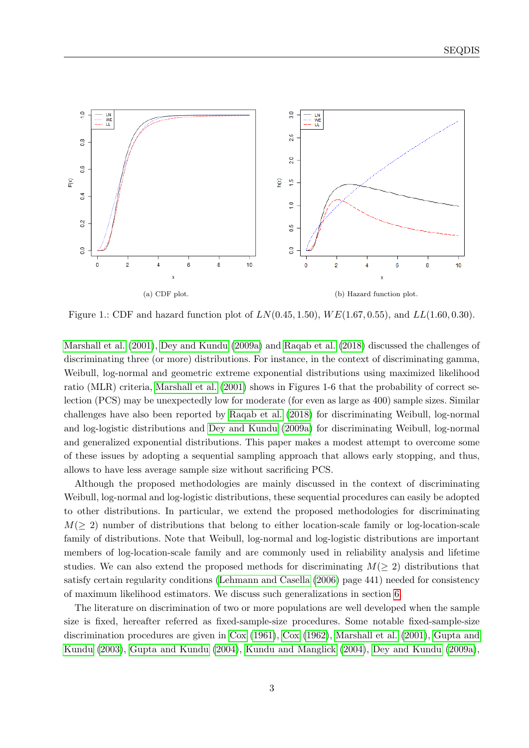<span id="page-2-0"></span>

<span id="page-2-1"></span>Figure 1.: CDF and hazard function plot of  $LN(0.45, 1.50)$ ,  $WE(1.67, 0.55)$ , and  $LL(1.60, 0.30)$ .

[Marshall et al.](#page-27-0) [\(2001\)](#page-27-0), [Dey and Kundu](#page-27-5) [\(2009a\)](#page-27-5) and [Raqab et al.](#page-28-2) [\(2018\)](#page-28-2) discussed the challenges of discriminating three (or more) distributions. For instance, in the context of discriminating gamma, Weibull, log-normal and geometric extreme exponential distributions using maximized likelihood ratio (MLR) criteria, [Marshall et al.](#page-27-0) [\(2001\)](#page-27-0) shows in Figures 1-6 that the probability of correct selection (PCS) may be unexpectedly low for moderate (for even as large as 400) sample sizes. Similar challenges have also been reported by [Raqab et al.](#page-28-2) [\(2018\)](#page-28-2) for discriminating Weibull, log-normal and log-logistic distributions and [Dey and Kundu](#page-27-5) [\(2009a\)](#page-27-5) for discriminating Weibull, log-normal and generalized exponential distributions. This paper makes a modest attempt to overcome some of these issues by adopting a sequential sampling approach that allows early stopping, and thus, allows to have less average sample size without sacrificing PCS.

Although the proposed methodologies are mainly discussed in the context of discriminating Weibull, log-normal and log-logistic distributions, these sequential procedures can easily be adopted to other distributions. In particular, we extend the proposed methodologies for discriminating  $M(\geq 2)$  number of distributions that belong to either location-scale family or log-location-scale family of distributions. Note that Weibull, log-normal and log-logistic distributions are important members of log-location-scale family and are commonly used in reliability analysis and lifetime studies. We can also extend the proposed methods for discriminating  $M(\geq 2)$  distributions that satisfy certain regularity conditions [\(Lehmann and Casella](#page-27-6) [\(2006\)](#page-27-6) page 441) needed for consistency of maximum likelihood estimators. We discuss such generalizations in section [6.](#page-20-0)

The literature on discrimination of two or more populations are well developed when the sample size is fixed, hereafter referred as fixed-sample-size procedures. Some notable fixed-sample-size discrimination procedures are given in [Cox](#page-27-3) [\(1961\)](#page-27-3), [Cox](#page-27-4) [\(1962\)](#page-27-4), [Marshall et al.](#page-27-0) [\(2001\)](#page-27-0), [Gupta and](#page-27-7) [Kundu](#page-27-7) [\(2003\)](#page-27-7), [Gupta and Kundu](#page-27-8) [\(2004\)](#page-27-8), [Kundu and Manglick](#page-27-9) [\(2004\)](#page-27-9), [Dey and Kundu](#page-27-5) [\(2009a\)](#page-27-5),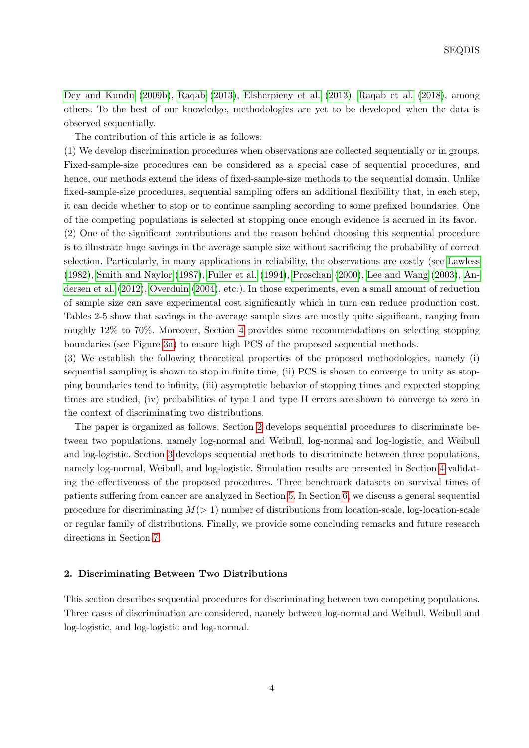[Dey and Kundu](#page-27-1) [\(2009b\)](#page-27-1), [Raqab](#page-28-3) [\(2013\)](#page-28-3), [Elsherpieny et al.](#page-27-10) [\(2013\)](#page-27-10), [Raqab et al.](#page-28-2) [\(2018\)](#page-28-2), among others. To the best of our knowledge, methodologies are yet to be developed when the data is observed sequentially.

The contribution of this article is as follows:

(1) We develop discrimination procedures when observations are collected sequentially or in groups. Fixed-sample-size procedures can be considered as a special case of sequential procedures, and hence, our methods extend the ideas of fixed-sample-size methods to the sequential domain. Unlike fixed-sample-size procedures, sequential sampling offers an additional flexibility that, in each step, it can decide whether to stop or to continue sampling according to some prefixed boundaries. One of the competing populations is selected at stopping once enough evidence is accrued in its favor.

(2) One of the significant contributions and the reason behind choosing this sequential procedure is to illustrate huge savings in the average sample size without sacrificing the probability of correct selection. Particularly, in many applications in reliability, the observations are costly (see [Lawless](#page-27-11) [\(1982\)](#page-27-11), [Smith and Naylor](#page-28-4) [\(1987\)](#page-28-4), [Fuller et al.](#page-27-12) [\(1994\)](#page-27-12), [Proschan](#page-28-5) [\(2000\)](#page-28-5), [Lee and Wang](#page-27-2) [\(2003\)](#page-27-2), [An](#page-26-0)[dersen et al.](#page-26-0) [\(2012\)](#page-26-0), [Overduin](#page-28-0) [\(2004\)](#page-28-0), etc.). In those experiments, even a small amount of reduction of sample size can save experimental cost significantly which in turn can reduce production cost. Tables 2-5 show that savings in the average sample sizes are mostly quite significant, ranging from roughly 12% to 70%. Moreover, Section [4](#page-12-0) provides some recommendations on selecting stopping boundaries (see Figure [3a\)](#page-17-0) to ensure high PCS of the proposed sequential methods.

(3) We establish the following theoretical properties of the proposed methodologies, namely (i) sequential sampling is shown to stop in finite time, (ii) PCS is shown to converge to unity as stopping boundaries tend to infinity, (iii) asymptotic behavior of stopping times and expected stopping times are studied, (iv) probabilities of type I and type II errors are shown to converge to zero in the context of discriminating two distributions.

The paper is organized as follows. Section [2](#page-3-0) develops sequential procedures to discriminate between two populations, namely log-normal and Weibull, log-normal and log-logistic, and Weibull and log-logistic. Section [3](#page-9-0) develops sequential methods to discriminate between three populations, namely log-normal, Weibull, and log-logistic. Simulation results are presented in Section [4](#page-12-0) validating the effectiveness of the proposed procedures. Three benchmark datasets on survival times of patients suffering from cancer are analyzed in Section [5.](#page-16-0) In Section [6,](#page-20-0) we discuss a general sequential procedure for discriminating  $M(> 1)$  number of distributions from location-scale, log-location-scale or regular family of distributions. Finally, we provide some concluding remarks and future research directions in Section [7.](#page-23-0)

#### <span id="page-3-0"></span>2. Discriminating Between Two Distributions

This section describes sequential procedures for discriminating between two competing populations. Three cases of discrimination are considered, namely between log-normal and Weibull, Weibull and log-logistic, and log-logistic and log-normal.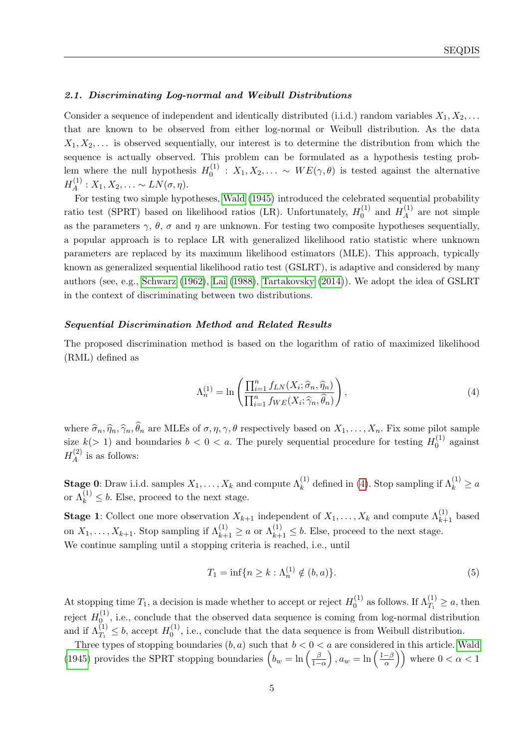### <span id="page-4-1"></span>2.1. Discriminating Log-normal and Weibull Distributions

Consider a sequence of independent and identically distributed (i.i.d.) random variables  $X_1, X_2, \ldots$ that are known to be observed from either log-normal or Weibull distribution. As the data  $X_1, X_2, \ldots$  is observed sequentially, our interest is to determine the distribution from which the sequence is actually observed. This problem can be formulated as a hypothesis testing problem where the null hypothesis  $H_0^{(1)}$  $\chi_0^{(1)}$  :  $X_1, X_2, \ldots \sim WE(\gamma, \theta)$  is tested against the alternative  $H_A^{(1)}$  $A^{(1)}$ :  $X_1, X_2, \ldots \sim LN(\sigma, \eta).$ 

For testing two simple hypotheses, [Wald](#page-28-6) [\(1945\)](#page-28-6) introduced the celebrated sequential probability ratio test (SPRT) based on likelihood ratios (LR). Unfortunately,  $H_0^{(1)}$  $_{0}^{(1)}$  and  $H_A^{(1)}$  $A^{(1)}$  are not simple as the parameters  $\gamma$ ,  $\theta$ ,  $\sigma$  and  $\eta$  are unknown. For testing two composite hypotheses sequentially, a popular approach is to replace LR with generalized likelihood ratio statistic where unknown parameters are replaced by its maximum likelihood estimators (MLE). This approach, typically known as generalized sequential likelihood ratio test (GSLRT), is adaptive and considered by many authors (see, e.g., [Schwarz](#page-28-7) [\(1962\)](#page-28-7), [Lai](#page-27-13) [\(1988\)](#page-27-13), [Tartakovsky](#page-28-8) [\(2014\)](#page-28-8)). We adopt the idea of GSLRT in the context of discriminating between two distributions.

## Sequential Discrimination Method and Related Results

The proposed discrimination method is based on the logarithm of ratio of maximized likelihood (RML) defined as

<span id="page-4-0"></span>
$$
\Lambda_n^{(1)} = \ln\left(\frac{\prod_{i=1}^n f_{LN}(X_i; \hat{\sigma}_n, \hat{\eta}_n)}{\prod_{i=1}^n f_{WE}(X_i; \hat{\gamma}_n, \hat{\theta}_n)}\right),\tag{4}
$$

where  $\widehat{\sigma}_n, \widehat{\eta}_n, \widehat{\gamma}_n, \widehat{\theta}_n$  are MLEs of  $\sigma, \eta, \gamma, \theta$  respectively based on  $X_1, \ldots, X_n$ . Fix some pilot sample size  $k(> 1)$  and boundaries  $b < 0 < a$ . The purely sequential procedure for testing  $H_0^{(1)}$  $0^{(1)}$  against  $H^{(2)}_A$  $\mathcal{A}^{(2)}$  is as follows:

**Stage 0:** Draw i.i.d. samples  $X_1, \ldots, X_k$  and compute  $\Lambda_k^{(1)}$  defined in [\(4\)](#page-4-0). Stop sampling if  $\Lambda_k^{(1)} \ge a$ or  $\Lambda_k^{(1)} \leq b$ . Else, proceed to the next stage.

**Stage 1:** Collect one more observation  $X_{k+1}$  independent of  $X_1, \ldots, X_k$  and compute  $\Lambda_{k+1}^{(1)}$  based on  $X_1, \ldots, X_{k+1}$ . Stop sampling if  $\Lambda_{k+1}^{(1)} \ge a$  or  $\Lambda_{k+1}^{(1)} \le b$ . Else, proceed to the next stage. We continue sampling until a stopping criteria is reached, i.e., until

<span id="page-4-2"></span>
$$
T_1 = \inf\{n \ge k : \Lambda_n^{(1)} \notin (b, a)\}.
$$
 (5)

At stopping time  $T_1$ , a decision is made whether to accept or reject  $H_0^{(1)}$  $\lambda_0^{(1)}$  as follows. If  $\Lambda_{T_1}^{(1)} \ge a$ , then reject  $H_0^{(1)}$  $\mathcal{O}_{\alpha}^{(1)}$ , i.e., conclude that the observed data sequence is coming from log-normal distribution and if  $\Lambda_{T_1}^{(1)} \leq b$ , accept  $H_0^{(1)}$  $\mathcal{O}_0^{(1)}$ , i.e., conclude that the data sequence is from Weibull distribution.

Three types of stopping boundaries  $(b, a)$  such that  $b < 0 < a$  are considered in this article. [Wald](#page-28-6) [\(1945\)](#page-28-6) provides the SPRT stopping boundaries  $\left(b_w = \ln\left(\frac{\beta}{1-\beta}\right)\right)$  $\frac{\beta}{1-\alpha}$ ,  $a_w = \ln\left(\frac{1-\beta}{\alpha}\right)$  $\left(\frac{-\beta}{\alpha}\right)$  where  $0 < \alpha < 1$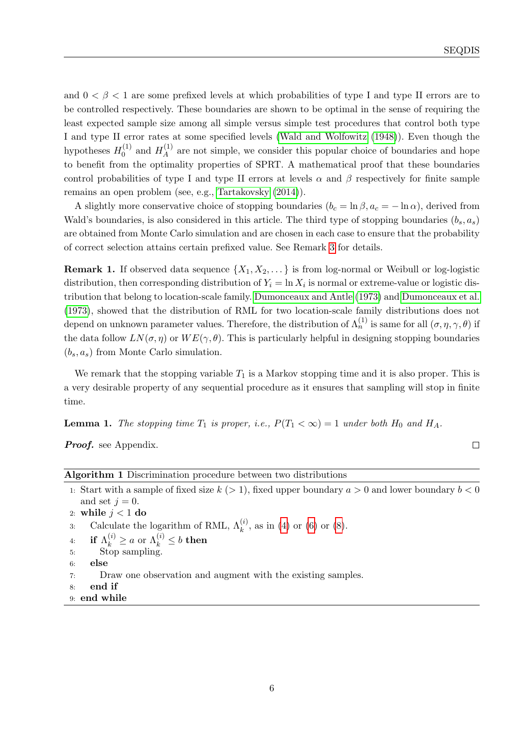and  $0 < \beta < 1$  are some prefixed levels at which probabilities of type I and type II errors are to be controlled respectively. These boundaries are shown to be optimal in the sense of requiring the least expected sample size among all simple versus simple test procedures that control both type I and type II error rates at some specified levels [\(Wald and Wolfowitz](#page-28-9) [\(1948\)](#page-28-9)). Even though the hypotheses  $H_0^{(1)}$  $_{0}^{(1)}$  and  $H_A^{(1)}$  $A_A^{(1)}$  are not simple, we consider this popular choice of boundaries and hope to benefit from the optimality properties of SPRT. A mathematical proof that these boundaries control probabilities of type I and type II errors at levels  $\alpha$  and  $\beta$  respectively for finite sample remains an open problem (see, e.g., [Tartakovsky](#page-28-8) [\(2014\)](#page-28-8)).

A slightly more conservative choice of stopping boundaries  $(b_c = \ln \beta, a_c = -\ln \alpha)$ , derived from Wald's boundaries, is also considered in this article. The third type of stopping boundaries  $(b_s, a_s)$ are obtained from Monte Carlo simulation and are chosen in each case to ensure that the probability of correct selection attains certain prefixed value. See Remark [3](#page-21-0) for details.

<span id="page-5-0"></span>**Remark 1.** If observed data sequence  $\{X_1, X_2, \ldots\}$  is from log-normal or Weibull or log-logistic distribution, then corresponding distribution of  $Y_i = \ln X_i$  is normal or extreme-value or logistic distribution that belong to location-scale family. [Dumonceaux and Antle](#page-27-14) [\(1973\)](#page-27-14) and [Dumonceaux et al.](#page-27-15) [\(1973\)](#page-27-15), showed that the distribution of RML for two location-scale family distributions does not depend on unknown parameter values. Therefore, the distribution of  $\Lambda_n^{(1)}$  is same for all  $(\sigma, \eta, \gamma, \theta)$  if the data follow  $LN(\sigma, \eta)$  or  $WE(\gamma, \theta)$ . This is particularly helpful in designing stopping boundaries  $(b_s, a_s)$  from Monte Carlo simulation.

We remark that the stopping variable  $T_1$  is a Markov stopping time and it is also proper. This is a very desirable property of any sequential procedure as it ensures that sampling will stop in finite time.

<span id="page-5-1"></span>**Lemma 1.** The stopping time  $T_1$  is proper, i.e.,  $P(T_1 < \infty) = 1$  under both  $H_0$  and  $H_A$ .

Proof. see Appendix.

 $\Box$ 

| Algorithm 1 Discrimination procedure between two distributions                                           |
|----------------------------------------------------------------------------------------------------------|
| 1. Start with a sample of fixed size $k (> 1)$ , fixed upper boundary $a > 0$ and lower boundary $b < 0$ |
| and set $j = 0$ .                                                                                        |
| 2: while $j < 1$ do                                                                                      |
| Calculate the logarithm of RML, $\Lambda_k^{(i)}$ , as in (4) or (6) or (8).<br>3:                       |
| if $\Lambda_k^{(i)} \ge a$ or $\Lambda_k^{(i)} \le b$ then<br>4:                                         |
| Stop sampling.<br>5:                                                                                     |
| else<br>6:                                                                                               |
| Draw one observation and augment with the existing samples.<br>7:                                        |
| end if<br>8:                                                                                             |

9: end while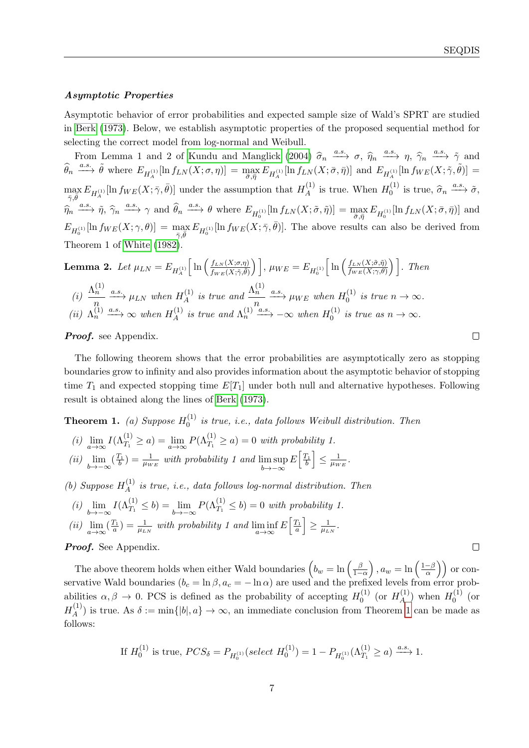## Asymptotic Properties

Asymptotic behavior of error probabilities and expected sample size of Wald's SPRT are studied in [Berk](#page-27-16) [\(1973\)](#page-27-16). Below, we establish asymptotic properties of the proposed sequential method for selecting the correct model from log-normal and Weibull.

From Lemma 1 and 2 of [Kundu and Manglick](#page-27-9) [\(2004\)](#page-27-9)  $\hat{\sigma}_n \xrightarrow{a.s.} \sigma$ ,  $\hat{\eta}_n \xrightarrow{a.s.} \gamma$ ,  $\hat{\gamma}_n \xrightarrow{a.s.} \tilde{\gamma}$  and  $\hat{\sigma}_n \xrightarrow{a.s.} \tilde{\sigma}$  $\widehat{\theta}_n \stackrel{a.s.}{\longrightarrow} \tilde{\theta}$  where  $E_{H_A^{(1)}}[\ln f_{LN}(X;\sigma,\eta)] = \max_{\bar{\sigma},\bar{\eta}} E_{H_A^{(1)}}[\ln f_{LN}(X;\bar{\sigma},\bar{\eta})]$  and  $E_{H_A^{(1)}}[\ln f_{WE}(X;\tilde{\gamma},\tilde{\theta})] =$  $\max_{\bar{\gamma}, \bar{\theta}} E_{H_A^{(1)}}[\ln f_{WE}(X; \bar{\gamma}, \bar{\theta})]$  under the assumption that  $H_A^{(1)}$  $H_A^{(1)}$  is true. When  $H_0^{(1)}$  $\widehat{\sigma}_0^{(1)}$  is true,  $\widehat{\sigma}_n \xrightarrow{a.s.} \widetilde{\sigma}$ ,  $\widehat{\eta}_n \xrightarrow{a.s.} \widehat{\eta}, \ \widehat{\gamma}_n \xrightarrow{a.s.} \gamma$  and  $\widehat{\theta}_n \xrightarrow{a.s.} \theta$  where  $E_{H_0^{(1)}}[\ln f_{LN}(X;\tilde{\sigma},\tilde{\eta})] = \max_{\bar{\sigma},\bar{\eta}} E_{H_0^{(1)}}[\ln f_{LN}(X;\bar{\sigma},\bar{\eta})]$  and  $E_{H_0^{(1)}}\left[\ln f_{WE}(X;\gamma,\theta)\right] = \max_{\bar{\gamma},\bar{\theta}} E_{H_0^{(1)}}\left[\ln f_{WE}(X;\bar{\gamma},\bar{\theta})\right]$ . The above results can also be derived from Theorem 1 of [White](#page-28-10) [\(1982\)](#page-28-10).

<span id="page-6-1"></span>**Lemma 2.** Let 
$$
\mu_{LN} = E_{H_A^{(1)}} \Big[ \ln \Big( \frac{f_{LN}(X;\sigma,\eta)}{f_{WE}(X;\tilde{\gamma},\tilde{\theta})} \Big) \Big]
$$
,  $\mu_{WE} = E_{H_0^{(1)}} \Big[ \ln \Big( \frac{f_{LN}(X;\tilde{\sigma},\tilde{\eta})}{f_{WE}(X;\tilde{\gamma},\tilde{\theta})} \Big) \Big]$ . Then  
\n(i)  $\frac{\Lambda_n^{(1)}}{n} \xrightarrow{a.s.} \mu_{LN}$  when  $H_A^{(1)}$  is true and  $\frac{\Lambda_n^{(1)}}{n} \xrightarrow{a.s.} \mu_{WE}$  when  $H_0^{(1)}$  is true  $n \to \infty$ .  
\n(ii)  $\Lambda_n^{(1)} \xrightarrow{a.s.} \infty$  when  $H_A^{(1)}$  is true and  $\Lambda_n^{(1)} \xrightarrow{a.s.} -\infty$  when  $H_0^{(1)}$  is true as  $n \to \infty$ .

Proof. see Appendix.

The following theorem shows that the error probabilities are asymptotically zero as stopping boundaries grow to infinity and also provides information about the asymptotic behavior of stopping time  $T_1$  and expected stopping time  $E[T_1]$  under both null and alternative hypotheses. Following result is obtained along the lines of [Berk](#page-27-16) [\(1973\)](#page-27-16).

<span id="page-6-0"></span>**Theorem 1.** (a) Suppose  $H_0^{(1)}$  $\int_0^{(1)}$  is true, i.e., data follows Weibull distribution. Then

(i)  $\lim_{a \to \infty} I(\Lambda_{T_1}^{(1)} \ge a) = \lim_{a \to \infty} P(\Lambda_{T_1}^{(1)} \ge a) = 0$  with probability 1.

(ii)  $\lim_{b \to -\infty} (\frac{T_1}{b}) = \frac{1}{\mu_{WE}}$  with probability 1 and  $\limsup_{b \to -\infty}$  $b \rightarrow -\infty$  $E\left[\frac{T_1}{b}\right] \leq \frac{1}{\mu_W}$  $\frac{1}{\mu_{WE}}$  .

(b) Suppose  $H_A^{(1)}$  $A_A^{(1)}$  is true, i.e., data follows log-normal distribution. Then

- (i)  $\lim_{b \to -\infty} I(\Lambda_{T_1}^{(1)} \le b) = \lim_{b \to -\infty} P(\Lambda_{T_1}^{(1)} \le b) = 0$  with probability 1.
- (ii)  $\lim_{a \to \infty} (\frac{T_1}{a}) = \frac{1}{\mu_{LN}}$  with probability 1 and  $\liminf_{a \to \infty} E\left[\frac{T_1}{a}\right] \ge \frac{1}{\mu_L}$  $\frac{1}{\mu_{LN}}$ .

## Proof. See Appendix.

The above theorem holds when either Wald boundaries  $\left(b_w = \ln\left(\frac{\beta}{1-\beta}\right)\right)$  $\frac{\beta}{1-\alpha}$ ,  $a_w = \ln\left(\frac{1-\beta}{\alpha}\right)$  $\left(\frac{-\beta}{\alpha}\right)$  or conservative Wald boundaries  $(b_c = \ln \beta, a_c = -\ln \alpha)$  are used and the prefixed levels from error probabilities  $\alpha, \beta \to 0$ . PCS is defined as the probability of accepting  $H_0^{(1)}$  $_0^{(1)}$  (or  $H_A^{(1)}$  $H_A^{(1)}$ ) when  $H_0^{(1)}$  $_{0}^{\left( 1\right) }$  (or  $H_A^{(1)}$  $A^{(1)}$  is true. As  $\delta := \min\{|b|, a\} \to \infty$ , an immediate conclusion from Theorem [1](#page-6-0) can be made as follows:

If 
$$
H_0^{(1)}
$$
 is true,  $PCS_\delta = P_{H_0^{(1)}}(select\ H_0^{(1)}) = 1 - P_{H_0^{(1)}}(\Lambda_{T_1}^{(1)} \ge a) \xrightarrow{a.s.} 1.$ 

 $\Box$ 

 $\Box$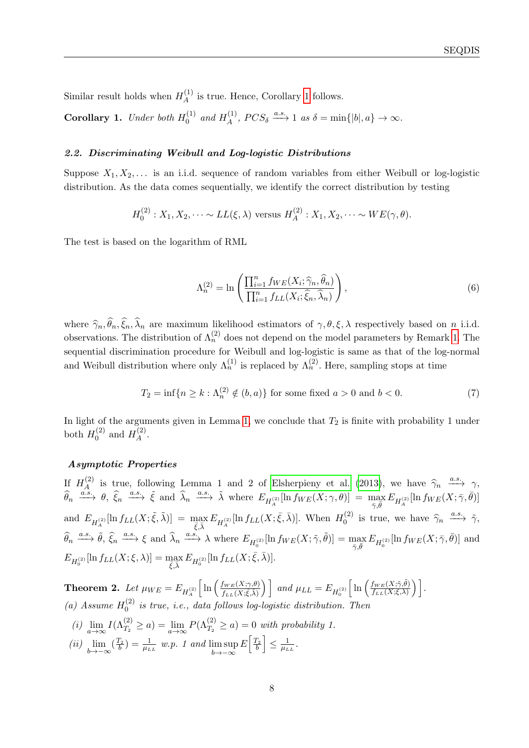Similar result holds when  $H_A^{(1)}$  $_A^{(1)}$  is true. Hence, Corollary [1](#page-7-1) follows.

<span id="page-7-1"></span>**Corollary 1.** Under both  $H_0^{(1)}$  $_0^{(1)}$  and  $H_A^{(1)}$  $A^{(1)}$ ,  $PCS_{\delta} \xrightarrow{a.s.} 1$  as  $\delta = \min\{|b|, a\} \to \infty$ .

## 2.2. Discriminating Weibull and Log-logistic Distributions

Suppose  $X_1, X_2, \ldots$  is an i.i.d. sequence of random variables from either Weibull or log-logistic distribution. As the data comes sequentially, we identify the correct distribution by testing

$$
H_0^{(2)}: X_1, X_2, \dots \sim LL(\xi, \lambda)
$$
 versus  $H_A^{(2)}: X_1, X_2, \dots \sim WE(\gamma, \theta)$ .

The test is based on the logarithm of RML

<span id="page-7-3"></span><span id="page-7-0"></span>
$$
\Lambda_n^{(2)} = \ln\left(\frac{\prod_{i=1}^n f_{WE}(X_i; \widehat{\gamma}_n, \widehat{\theta}_n)}{\prod_{i=1}^n f_{LL}(X_i; \widehat{\xi}_n, \widehat{\lambda}_n)}\right),\tag{6}
$$

where  $\widehat{\gamma}_n, \widehat{\theta}_n, \widehat{\xi}_n, \widehat{\lambda}_n$  are maximum likelihood estimators of  $\gamma, \theta, \xi, \lambda$  respectively based on n i.i.d. observations. The distribution of  $\Lambda_n^{(2)}$  does not depend on the model parameters by Remark [1.](#page-5-0) The sequential discrimination procedure for Weibull and log-logistic is same as that of the log-normal and Weibull distribution where only  $\Lambda_n^{(1)}$  is replaced by  $\Lambda_n^{(2)}$ . Here, sampling stops at time

$$
T_2 = \inf\{n \ge k : \Lambda_n^{(2)} \notin (b, a)\}\
$$
for some fixed  $a > 0$  and  $b < 0$ . (7)

In light of the arguments given in Lemma [1,](#page-5-1) we conclude that  $T_2$  is finite with probability 1 under both  $H_0^{(2)}$  $_{0}^{(2)}$  and  $H_{A}^{(2)}$  $\mathcal{A}^{(2)}$ .

#### Asymptotic Properties

If  $H_A^{(2)}$ <sup>(2)</sup> is true, following Lemma 1 and 2 of [Elsherpieny et al.](#page-27-10) [\(2013\)](#page-27-10), we have  $\hat{\gamma}_n \stackrel{a.s.}{\longrightarrow} \gamma$ ,  $\widehat{\theta}_n \xrightarrow{a.s.} \theta, \ \widehat{\xi}_n \xrightarrow{a.s.} \tilde{\xi} \text{ and } \widehat{\lambda}_n \xrightarrow{a.s.} \tilde{\lambda} \text{ where } E_{H_A^{(2)}}[\ln f_{WE}(X; \gamma, \theta)] = \max_{\overline{\gamma}, \overline{\theta}} E_{H_A^{(2)}}[\ln f_{WE}(X; \overline{\gamma}, \overline{\theta})]$ and  $E_{H_A^{(2)}}[\ln f_{LL}(X;\tilde{\xi},\tilde{\lambda})] = \max_{\bar{\xi},\bar{\lambda}} E_{H_A^{(2)}}[\ln f_{LL}(X;\bar{\xi},\bar{\lambda})].$  When  $H_0^{(2)}$  $\widetilde{\gamma}_0^{(2)}$  is true, we have  $\widehat{\gamma}_n \stackrel{a.s.}{\longrightarrow} \widetilde{\gamma}$ ,  $\widehat{\theta}_n \xrightarrow{a.s.} \widehat{\theta}, \widehat{\xi}_n \xrightarrow{a.s.} \xi \text{ and } \widehat{\lambda}_n \xrightarrow{a.s.} \lambda \text{ where } E_{H_0^{(2)}}[\ln f_{WE}(X; \tilde{\gamma}, \tilde{\theta})] = \max_{\bar{\gamma}, \bar{\theta}} E_{H_0^{(2)}}[\ln f_{WE}(X; \bar{\gamma}, \bar{\theta})] \text{ and }$  $E_{H_0^{(2)}}\left[\ln f_{LL}(X;\xi,\lambda)\right] = \max_{\bar{\xi},\bar{\lambda}} E_{H_0^{(2)}}\left[\ln f_{LL}(X;\bar{\xi},\bar{\lambda})\right].$ 

<span id="page-7-2"></span>**Theorem 2.** Let  $\mu_{WE} = E_{H_A^{(2)}}$  $\ln \left( \frac{f_{WE}(X;\gamma,\theta)}{f(X;\tilde{\gamma},\tilde{\gamma})} \right)$  $\left(\frac{f_{WE}(X;\gamma,\theta)}{f_{LL}(X;\tilde{\xi},\tilde{\lambda})}\right)$  and  $\mu_{LL}=E_{H_0^{(2)}}$  $\ln \left( \frac{f_{WE}(X;\tilde{\gamma},\tilde{\theta})}{f_{X,Y}(X;\xi)} \right)$  $\left. \frac{f_{WE}(X;\tilde{\gamma},\tilde{\theta})}{f_{LL}(X;\xi,\lambda)}\right)\Bigg]$  . (a) Assume  $H_0^{(2)}$  $\int_0^{(2)}$  is true, i.e., data follows log-logistic distribution. Then (i)  $\lim_{a \to \infty} I(\Lambda_{T_2}^{(2)} \ge a) = \lim_{a \to \infty} P(\Lambda_{T_2}^{(2)} \ge a) = 0$  with probability 1. (ii)  $\lim_{b \to -\infty} (\frac{T_2}{b}) = \frac{1}{\mu_{LL}}$  w.p. 1 and  $\limsup_{b \to -\infty}$  $b \rightarrow -\infty$  $E\left[\frac{T_2}{b}\right] \leq \frac{1}{\mu_L}$  $\frac{1}{\mu_{LL}}$  .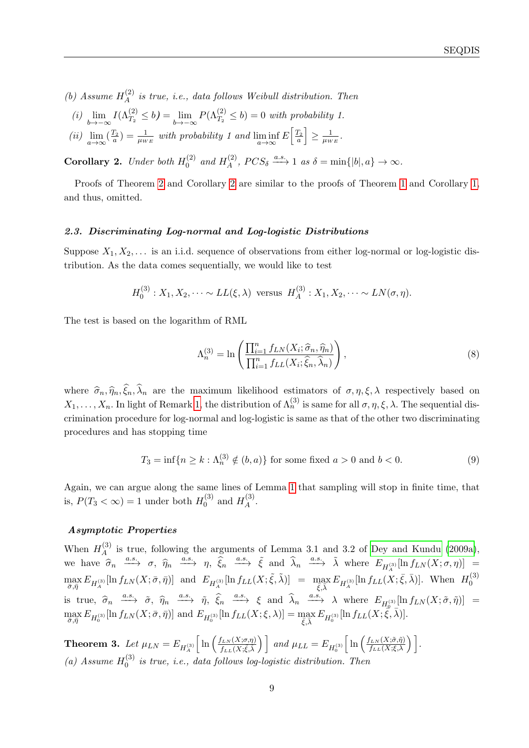(b) Assume  $H_A^{(2)}$  $\mathcal{L}_{A}^{(2)}$  is true, i.e., data follows Weibull distribution. Then

- (i)  $\lim_{b \to -\infty} I(\Lambda_{T_2}^{(2)} \le b) = \lim_{b \to -\infty} P(\Lambda_{T_2}^{(2)} \le b) = 0$  with probability 1.
- (ii)  $\lim_{a \to \infty} (\frac{T_2}{a}) = \frac{1}{\mu_{WE}}$  with probability 1 and  $\liminf_{a \to \infty} E\left[\frac{T_2}{a}\right] \ge \frac{1}{\mu_W}$  $\frac{1}{\mu_{WE}}$  .

<span id="page-8-1"></span>**Corollary 2.** Under both  $H_0^{(2)}$  $_0^{(2)}$  and  $H_A^{(2)}$  $A^{(2)}$ ,  $PCS_{\delta} \xrightarrow{a.s.} 1$  as  $\delta = \min\{|b|, a\} \to \infty$ .

Proofs of Theorem [2](#page-7-2) and Corollary [2](#page-8-1) are similar to the proofs of Theorem [1](#page-6-0) and Corollary [1,](#page-7-1) and thus, omitted.

#### 2.3. Discriminating Log-normal and Log-logistic Distributions

Suppose  $X_1, X_2, \ldots$  is an i.i.d. sequence of observations from either log-normal or log-logistic distribution. As the data comes sequentially, we would like to test

$$
H_0^{(3)}: X_1, X_2, \dots \sim LL(\xi, \lambda)
$$
 versus  $H_A^{(3)}: X_1, X_2, \dots \sim LN(\sigma, \eta)$ .

The test is based on the logarithm of RML

<span id="page-8-3"></span><span id="page-8-0"></span>
$$
\Lambda_n^{(3)} = \ln\left(\frac{\prod_{i=1}^n f_{LN}(X_i; \hat{\sigma}_n, \hat{\eta}_n)}{\prod_{i=1}^n f_{LL}(X_i; \hat{\xi}_n, \hat{\lambda}_n)}\right),\tag{8}
$$

where  $\hat{\sigma}_n, \hat{\eta}_n, \hat{\xi}_n, \hat{\lambda}_n$  are the maximum likelihood estimators of  $\sigma, \eta, \xi, \lambda$  respectively based on  $X_1,\ldots,X_n$ . In light of Remark [1,](#page-5-0) the distribution of  $\Lambda_n^{(3)}$  is same for all  $\sigma,\eta,\xi,\lambda$ . The sequential discrimination procedure for log-normal and log-logistic is same as that of the other two discriminating procedures and has stopping time

$$
T_3 = \inf\{n \ge k : \Lambda_n^{(3)} \notin (b, a)\}\
$$
for some fixed  $a > 0$  and  $b < 0$ . (9)

Again, we can argue along the same lines of Lemma [1](#page-5-1) that sampling will stop in finite time, that is,  $P(T_3 < \infty) = 1$  under both  $H_0^{(3)}$  $_{0}^{(3)}$  and  $H_A^{(3)}$  $\mathcal{A}^{(3)}$ .

## Asymptotic Properties

When  $H_A^{(3)}$  $_A^{(5)}$  is true, following the arguments of Lemma 3.1 and 3.2 of [Dey and Kundu](#page-27-5) [\(2009a\)](#page-27-5), we have  $\hat{\sigma}_n \xrightarrow{a.s.} \sigma, \hat{\eta}_n \xrightarrow{a.s.} \eta, \hat{\xi}_n \xrightarrow{a.s.} \tilde{\xi}$  and  $\hat{\lambda}_n \xrightarrow{a.s.} \tilde{\lambda}$  where  $E_{H_A^{(3)}}[\ln f_{LN}(X;\sigma,\eta)] =$  $\max_{\bar{\sigma}, \bar{\eta}} E_{H_A^{(3)}}[\ln f_{LN}(X; \bar{\sigma}, \bar{\eta})]$  and  $E_{H_A^{(3)}}[\ln f_{LL}(X; \tilde{\xi}, \tilde{\lambda})] = \max_{\bar{\xi}, \bar{\lambda}} E_{H_A^{(3)}}[\ln f_{LL}(X; \bar{\xi}, \bar{\lambda})]$ . When  $H_0^{(3)}$ 0 is true,  $\hat{\sigma}_n \xrightarrow{a.s.} \tilde{\sigma}, \hat{\eta}_n \xrightarrow{a.s.} \tilde{\eta}, \hat{\xi}_n \xrightarrow{a.s.} \xi$  and  $\hat{\lambda}_n \xrightarrow{a.s.} \lambda$  where  $E_{H_0^{(3)}}[\ln f_{LN}(X;\tilde{\sigma},\tilde{\eta})] =$  $\max_{\bar{\sigma}, \bar{\eta}} E_{H_0^{(3)}}[\ln f_{LN}(X; \bar{\sigma}, \bar{\eta})]$  and  $E_{H_0^{(3)}}[\ln f_{LL}(X; \xi, \lambda)] = \max_{\bar{\xi}, \bar{\lambda}} E_{H_0^{(3)}}[\ln f_{LL}(X; \bar{\xi}, \bar{\lambda})].$ 

<span id="page-8-2"></span>Theorem 3. Let  $\mu_{LN}=E_{H_A^{(3)}}$  $\left[\ln\left(\frac{f_{LN}(X;\sigma,\eta)}{f(X;\tilde{\sigma},\tilde{\gamma})}\right)\right]$  $\left(\frac{f_{LN}(X;\sigma,\eta)}{f_{LL}(X;\tilde{\xi},\tilde{\lambda})}\right)$  and  $\mu_{LL}=E_{H_0^{(3)}}$  $\left[\ln\left(\frac{f_{LN}(X;\tilde{\sigma},\tilde{\eta})}{f_{LL}(X;\xi,\lambda)}\right)\right].$ (a) Assume  $H_0^{(3)}$  $\int_0^{(5)}$  is true, i.e., data follows log-logistic distribution. Then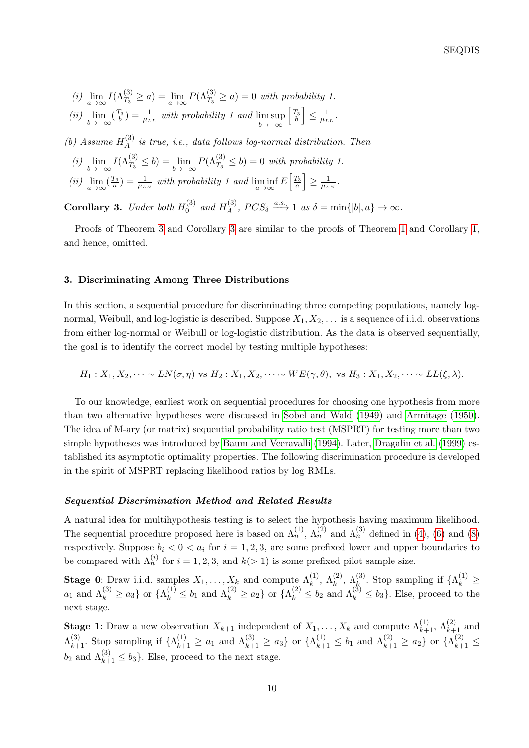(i)  $\lim_{a \to \infty} I(\Lambda_{T_3}^{(3)} \ge a) = \lim_{a \to \infty} P(\Lambda_{T_3}^{(3)} \ge a) = 0$  with probability 1.

(ii) 
$$
\lim_{b \to -\infty} (\frac{T_3}{b}) = \frac{1}{\mu_{LL}}
$$
 with probability 1 and  $\limsup_{b \to -\infty} [\frac{T_3}{b}] \le \frac{1}{\mu_{LL}}$ .

(b) Assume  $H_A^{(3)}$  $A_A^{(5)}$  is true, i.e., data follows log-normal distribution. Then

- (i)  $\lim_{b \to -\infty} I(\Lambda_{T_3}^{(3)} \le b) = \lim_{b \to -\infty} P(\Lambda_{T_3}^{(3)} \le b) = 0$  with probability 1.
- (ii)  $\lim_{a \to \infty} (\frac{T_3}{a}) = \frac{1}{\mu_{LN}}$  with probability 1 and  $\liminf_{a \to \infty} E\left[\frac{T_3}{a}\right] \ge \frac{1}{\mu_L}$  $\frac{1}{\mu_{LN}}$ .

<span id="page-9-1"></span>**Corollary 3.** Under both  $H_0^{(3)}$  $_0^{(3)}$  and  $H_A^{(3)}$  $A^{(3)}$ ,  $PCS_{\delta} \xrightarrow{a.s.} 1$  as  $\delta = \min\{|b|, a\} \to \infty$ .

Proofs of Theorem [3](#page-8-2) and Corollary [3](#page-9-1) are similar to the proofs of Theorem [1](#page-6-0) and Corollary [1,](#page-7-1) and hence, omitted.

## <span id="page-9-0"></span>3. Discriminating Among Three Distributions

In this section, a sequential procedure for discriminating three competing populations, namely lognormal, Weibull, and log-logistic is described. Suppose  $X_1, X_2, \ldots$  is a sequence of i.i.d. observations from either log-normal or Weibull or log-logistic distribution. As the data is observed sequentially, the goal is to identify the correct model by testing multiple hypotheses:

 $H_1: X_1, X_2, \cdots \sim LN(\sigma, \eta)$  vs  $H_2: X_1, X_2, \cdots \sim WE(\gamma, \theta)$ , vs  $H_3: X_1, X_2, \cdots \sim LL(\xi, \lambda)$ .

To our knowledge, earliest work on sequential procedures for choosing one hypothesis from more than two alternative hypotheses were discussed in [Sobel and Wald](#page-28-11) [\(1949\)](#page-28-11) and [Armitage](#page-26-1) [\(1950\)](#page-26-1). The idea of M-ary (or matrix) sequential probability ratio test (MSPRT) for testing more than two simple hypotheses was introduced by [Baum and Veeravalli](#page-26-2) [\(1994\)](#page-26-2). Later, [Dragalin et al.](#page-27-17) [\(1999\)](#page-27-17) established its asymptotic optimality properties. The following discrimination procedure is developed in the spirit of MSPRT replacing likelihood ratios by log RMLs.

#### Sequential Discrimination Method and Related Results

A natural idea for multihypothesis testing is to select the hypothesis having maximum likelihood. The sequential procedure proposed here is based on  $\Lambda_n^{(1)}$ ,  $\Lambda_n^{(2)}$  and  $\Lambda_n^{(3)}$  defined in [\(4\)](#page-4-0), [\(6\)](#page-7-0) and [\(8\)](#page-8-0) respectively. Suppose  $b_i < 0 < a_i$  for  $i = 1, 2, 3$ , are some prefixed lower and upper boundaries to be compared with  $\Lambda_n^{(i)}$  for  $i = 1, 2, 3$ , and  $k(> 1)$  is some prefixed pilot sample size.

Stage 0: Draw i.i.d. samples  $X_1, \ldots, X_k$  and compute  $\Lambda_k^{(1)}$ ,  $\Lambda_k^{(2)}$ ,  $\Lambda_k^{(3)}$ . Stop sampling if  $\{\Lambda_k^{(1)}\geq$  $a_1$  and  $\Lambda_k^{(3)} \ge a_3$  or  $\{\Lambda_k^{(1)} \le b_1 \text{ and } \Lambda_k^{(2)} \ge a_2\}$  or  $\{\Lambda_k^{(2)} \le b_2 \text{ and } \Lambda_k^{(3)} \le b_3\}$ . Else, proceed to the next stage.

**Stage 1**: Draw a new observation  $X_{k+1}$  independent of  $X_1, \ldots, X_k$  and compute  $\Lambda_{k+1}^{(1)}$ ,  $\Lambda_{k+1}^{(2)}$  and  $\Lambda_{k+1}^{(3)}$ . Stop sampling if  $\{\Lambda_{k+1}^{(1)} \ge a_1 \text{ and } \Lambda_{k+1}^{(3)} \ge a_3\}$  or  $\{\Lambda_{k+1}^{(1)} \le b_1 \text{ and } \Lambda_{k+1}^{(2)} \ge a_2\}$  or  $\{\Lambda_{k+1}^{(2)} \le a_1\}$  $b_2$  and  $\Lambda_{k+1}^{(3)} \leq b_3$ . Else, proceed to the next stage.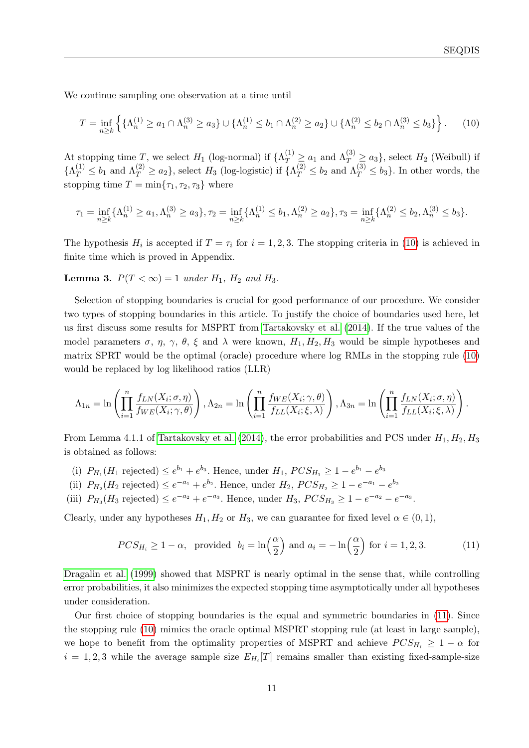We continue sampling one observation at a time until

<span id="page-10-0"></span>
$$
T = \inf_{n \ge k} \left\{ \{ \Lambda_n^{(1)} \ge a_1 \cap \Lambda_n^{(3)} \ge a_3 \} \cup \{ \Lambda_n^{(1)} \le b_1 \cap \Lambda_n^{(2)} \ge a_2 \} \cup \{ \Lambda_n^{(2)} \le b_2 \cap \Lambda_n^{(3)} \le b_3 \} \right\}.
$$
 (10)

At stopping time T, we select  $H_1$  (log-normal) if  $\{\Lambda_T^{(1)} \ge a_1 \text{ and } \Lambda_T^{(3)} \ge a_3\}$ , select  $H_2$  (Weibull) if  $\{\Lambda_T^{(1)} \leq b_1 \text{ and } \Lambda_T^{(2)} \geq a_2\},\$  select  $H_3$  (log-logistic) if  $\{\Lambda_T^{(2)} \leq b_2 \text{ and } \Lambda_T^{(3)} \leq b_3\}.$  In other words, the stopping time  $T = \min\{\tau_1, \tau_2, \tau_3\}$  where

$$
\tau_1 = \inf_{n \ge k} \{ \Lambda_n^{(1)} \ge a_1, \Lambda_n^{(3)} \ge a_3 \}, \tau_2 = \inf_{n \ge k} \{ \Lambda_n^{(1)} \le b_1, \Lambda_n^{(2)} \ge a_2 \}, \tau_3 = \inf_{n \ge k} \{ \Lambda_n^{(2)} \le b_2, \Lambda_n^{(3)} \le b_3 \}.
$$

The hypothesis  $H_i$  is accepted if  $T = \tau_i$  for  $i = 1, 2, 3$ . The stopping criteria in [\(10\)](#page-10-0) is achieved in finite time which is proved in Appendix.

<span id="page-10-2"></span>**Lemma 3.**  $P(T < \infty) = 1$  under  $H_1$ ,  $H_2$  and  $H_3$ .

Selection of stopping boundaries is crucial for good performance of our procedure. We consider two types of stopping boundaries in this article. To justify the choice of boundaries used here, let us first discuss some results for MSPRT from [Tartakovsky et al.](#page-28-12) [\(2014\)](#page-28-12). If the true values of the model parameters  $\sigma$ ,  $\eta$ ,  $\gamma$ ,  $\theta$ ,  $\xi$  and  $\lambda$  were known,  $H_1, H_2, H_3$  would be simple hypotheses and matrix SPRT would be the optimal (oracle) procedure where log RMLs in the stopping rule [\(10\)](#page-10-0) would be replaced by log likelihood ratios (LLR)

$$
\Lambda_{1n} = \ln\left(\prod_{i=1}^n \frac{f_{LN}(X_i;\sigma,\eta)}{f_{WE}(X_i;\gamma,\theta)}\right), \Lambda_{2n} = \ln\left(\prod_{i=1}^n \frac{f_{WE}(X_i;\gamma,\theta)}{f_{LL}(X_i;\xi,\lambda)}\right), \Lambda_{3n} = \ln\left(\prod_{i=1}^n \frac{f_{LN}(X_i;\sigma,\eta)}{f_{LL}(X_i;\xi,\lambda)}\right).
$$

From Lemma 4.1.1 of [Tartakovsky et al.](#page-28-12) [\(2014\)](#page-28-12), the error probabilities and PCS under  $H_1, H_2, H_3$ is obtained as follows:

- (i)  $P_{H_1}(H_1 \text{ rejected}) \leq e^{b_1} + e^{b_3}$ . Hence, under  $H_1$ ,  $PCS_{H_1} \geq 1 e^{b_1} e^{b_3}$
- (ii)  $P_{H_2}(H_2 \text{ rejected}) \le e^{-a_1} + e^{b_2}$ . Hence, under  $H_2$ ,  $PCS_{H_2} \ge 1 e^{-a_1} e^{b_2}$
- (iii)  $P_{H_3}(H_3 \text{ rejected}) \le e^{-a_2} + e^{-a_3}$ . Hence, under  $H_3$ ,  $PCS_{H_3} \ge 1 e^{-a_2} e^{-a_3}$ .

Clearly, under any hypotheses  $H_1, H_2$  or  $H_3$ , we can guarantee for fixed level  $\alpha \in (0, 1)$ ,

<span id="page-10-1"></span>
$$
PCS_{H_i} \ge 1 - \alpha, \text{ provided } b_i = \ln\left(\frac{\alpha}{2}\right) \text{ and } a_i = -\ln\left(\frac{\alpha}{2}\right) \text{ for } i = 1, 2, 3. \tag{11}
$$

[Dragalin et al.](#page-27-17) [\(1999\)](#page-27-17) showed that MSPRT is nearly optimal in the sense that, while controlling error probabilities, it also minimizes the expected stopping time asymptotically under all hypotheses under consideration.

Our first choice of stopping boundaries is the equal and symmetric boundaries in [\(11\)](#page-10-1). Since the stopping rule [\(10\)](#page-10-0) mimics the oracle optimal MSPRT stopping rule (at least in large sample), we hope to benefit from the optimality properties of MSPRT and achieve  $PCS_{H_i} \geq 1 - \alpha$  for  $i = 1, 2, 3$  while the average sample size  $E_{H_i}[T]$  remains smaller than existing fixed-sample-size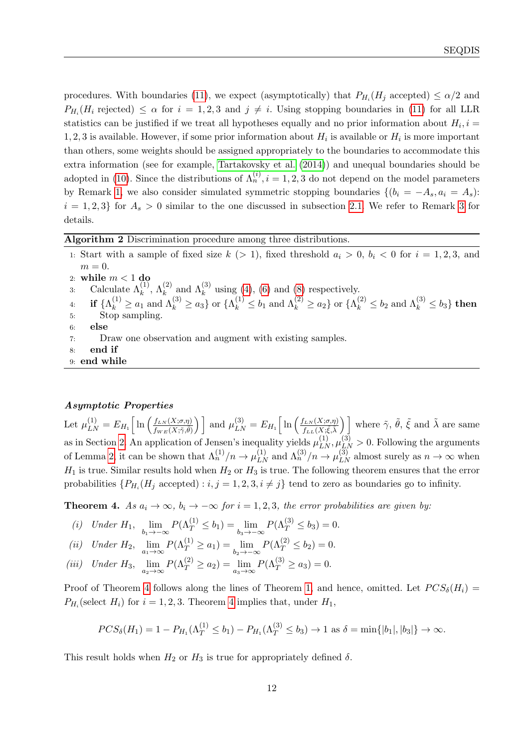procedures. With boundaries [\(11\)](#page-10-1), we expect (asymptotically) that  $P_{H_i}(H_j \text{ accepted}) \leq \alpha/2$  and  $P_{H_i}(H_i \text{ rejected}) \leq \alpha \text{ for } i = 1, 2, 3 \text{ and } j \neq i.$  Using stopping boundaries in [\(11\)](#page-10-1) for all LLR statistics can be justified if we treat all hypotheses equally and no prior information about  $H_i$ ,  $i =$ 1, 2, 3 is available. However, if some prior information about  $H_i$  is available or  $H_i$  is more important than others, some weights should be assigned appropriately to the boundaries to accommodate this extra information (see for example, [Tartakovsky et al.](#page-28-12) [\(2014\)](#page-28-12)) and unequal boundaries should be adopted in [\(10\)](#page-10-0). Since the distributions of  $\Lambda_n^{(i)}$ ,  $i = 1, 2, 3$  do not depend on the model parameters by Remark [1,](#page-5-0) we also consider simulated symmetric stopping boundaries  $\{(b_i = -A_s, a_i = A_s):$  $i = 1, 2, 3$  $i = 1, 2, 3$  for  $A_s > 0$  similar to the one discussed in subsection [2.1.](#page-4-1) We refer to Remark 3 for details.

Algorithm 2 Discrimination procedure among three distributions.

1: Start with a sample of fixed size  $k$  (> 1), fixed threshold  $a_i > 0$ ,  $b_i < 0$  for  $i = 1, 2, 3$ , and  $m = 0$ . 2: while  $m < 1$  do 3: Calculate  $\Lambda_k^{(1)}$ ,  $\Lambda_k^{(2)}$  and  $\Lambda_k^{(3)}$  using [\(4\)](#page-4-0), [\(6\)](#page-7-0) and [\(8\)](#page-8-0) respectively.  $\mathbf{A}\colon\quad \mathbf{if}\,\, \{\Lambda_k^{(1)}\geq a_1\,\, \text{and}\,\, \Lambda_k^{(3)}\geq a_3\}\,\, \text{or}\,\, \{\Lambda_k^{(1)}\leq b_1\,\, \text{and}\,\, \Lambda_k^{(2)}\geq a_2\}\,\, \text{or}\,\, \{\Lambda_k^{(2)}\leq b_2\,\, \text{and}\,\, \Lambda_k^{(3)}\leq b_3\}\,\, \mathbf{then}\,\,$ 5: Stop sampling. 6: else 7: Draw one observation and augment with existing samples. 8: end if 9: end while

## Asymptotic Properties

Let  $\mu_{LN}^{(1)} = E_{H_1} \left[ \ln \left( \frac{f_{LN}(X;\sigma,\eta)}{f_{WF}(X;\tilde{\gamma},\tilde{\theta})} \right) \right]$  $\left[\frac{f_{LN}(X;\sigma,\eta)}{f_{WE}(X;\tilde{\gamma},\tilde{\theta})}\right]$  and  $\mu_{LN}^{(3)} = E_{H_1} \left[ \ln \left( \frac{f_{LN}(X;\sigma,\eta)}{f_{LL}(X;\tilde{\xi},\tilde{\lambda})} \right) \right]$  $\left(\frac{f_{LN}(X;\sigma,\eta)}{f_{LL}(X;\tilde{\xi},\tilde{\lambda})}\right)$  where  $\tilde{\gamma}$ ,  $\tilde{\theta}$ ,  $\tilde{\xi}$  and  $\tilde{\lambda}$  are same as in Section [2.](#page-3-0) An application of Jensen's inequality yields  $\mu_{LN}^{(1)}, \mu_{LN}^{(3)} > 0$ . Following the arguments of Lemma [2,](#page-6-1) it can be shown that  $\Lambda_n^{(1)}/n \to \mu_{LN}^{(1)}$  and  $\Lambda_n^{(3)}/n \to \mu_{LN}^{(3)}$  almost surely as  $n \to \infty$  when  $H_1$  is true. Similar results hold when  $H_2$  or  $H_3$  is true. The following theorem ensures that the error probabilities  $\{P_{H_i}(H_j \text{ accepted}) : i, j = 1, 2, 3, i \neq j\}$  tend to zero as boundaries go to infinity.

<span id="page-11-0"></span>**Theorem 4.** As  $a_i \rightarrow \infty$ ,  $b_i \rightarrow -\infty$  for  $i = 1, 2, 3$ , the error probabilities are given by:

(i) Under 
$$
H_1
$$
,  $\lim_{b_1 \to -\infty} P(\Lambda_T^{(1)} \le b_1) = \lim_{b_3 \to -\infty} P(\Lambda_T^{(3)} \le b_3) = 0$ .

(ii) Under 
$$
H_2
$$
,  $\lim_{a_1 \to \infty} P(\Lambda_T^{(1)} \ge a_1) = \lim_{b_2 \to -\infty} P(\Lambda_T^{(2)} \le b_2) = 0$ .

(iii) Under  $H_3$ ,  $\lim_{a_2 \to \infty} P(\Lambda_T^{(2)} \ge a_2) = \lim_{a_3 \to \infty} P(\Lambda_T^{(3)} \ge a_3) = 0.$ 

Proof of Theorem [4](#page-11-0) follows along the lines of Theorem [1,](#page-6-0) and hence, omitted. Let  $PCS_{\delta}(H_i)$  =  $P_{H_i}$ (select  $H_i$ ) for  $i = 1, 2, 3$ . Theorem [4](#page-11-0) implies that, under  $H_1$ ,

$$
PCS_{\delta}(H_1) = 1 - P_{H_1}(\Lambda_T^{(1)} \le b_1) - P_{H_1}(\Lambda_T^{(3)} \le b_3) \to 1 \text{ as } \delta = \min\{|b_1|, |b_3|\} \to \infty.
$$

This result holds when  $H_2$  or  $H_3$  is true for appropriately defined  $\delta$ .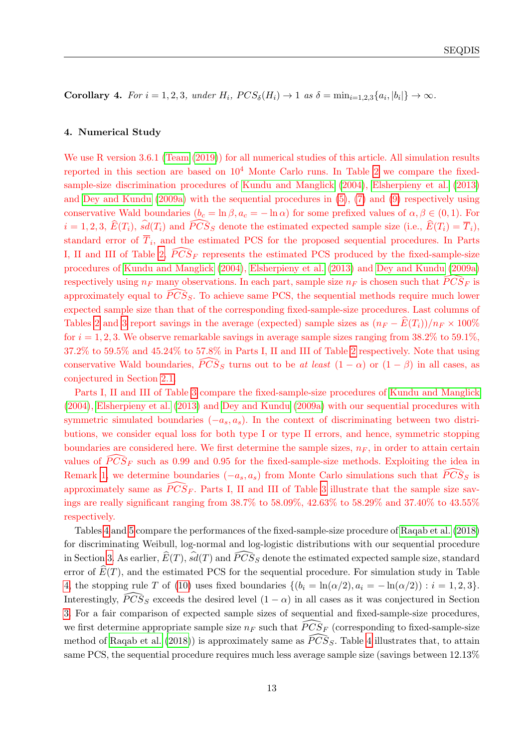Corollary 4. For  $i = 1, 2, 3$ , under  $H_i$ ,  $PCS_{\delta}(H_i) \rightarrow 1$  as  $\delta = \min_{i=1,2,3} \{a_i, |b_i|\} \rightarrow \infty$ .

## <span id="page-12-0"></span>4. Numerical Study

We use R version 3.6.1 [\(Team](#page-28-13) [\(2019\)](#page-28-13)) for all numerical studies of this article. All simulation results reported in this section are based on  $10<sup>4</sup>$  Monte Carlo runs. In Table [2](#page-13-0) we compare the fixedsample-size discrimination procedures of [Kundu and Manglick](#page-27-9) [\(2004\)](#page-27-9), [Elsherpieny et al.](#page-27-10) [\(2013\)](#page-27-10) and [Dey and Kundu](#page-27-5) [\(2009a\)](#page-27-5) with the sequential procedures in [\(5\)](#page-4-2), [\(7\)](#page-7-3) and [\(9\)](#page-8-3) respectively using conservative Wald boundaries  $(b_c = \ln \beta, a_c = -\ln \alpha)$  for some prefixed values of  $\alpha, \beta \in (0, 1)$ . For  $i = 1, 2, 3, \,\widehat{E}(T_i), \,\widehat{sd}(T_i)$  and  $\widehat{PCS}_S$  denote the estimated expected sample size (i.e.,  $\widehat{E}(T_i) = \overline{T}_i$ ), standard error of  $T_i$ , and the estimated PCS for the proposed sequential procedures. In Parts I, II and III of Table [2,](#page-13-0)  $\widehat{PCS}_F$  represents the estimated PCS produced by the fixed-sample-size procedures of [Kundu and Manglick](#page-27-9) [\(2004\)](#page-27-9), [Elsherpieny et al.](#page-27-10) [\(2013\)](#page-27-10) and [Dey and Kundu](#page-27-5) [\(2009a\)](#page-27-5) respectively using  $n_F$  many observations. In each part, sample size  $n_F$  is chosen such that  $\widehat{PCS}_F$  is approximately equal to  $\overline{P}C\overline{S}_{S}$ . To achieve same PCS, the sequential methods require much lower expected sample size than that of the corresponding fixed-sample-size procedures. Last columns of Tables [2](#page-13-0) and [3](#page-14-0) report savings in the average (expected) sample sizes as  $(n_F - \widehat{E}(T_i))/n_F \times 100\%$ for  $i = 1, 2, 3$ . We observe remarkable savings in average sample sizes ranging from 38.2% to 59.1%, 37.2% to 59.5% and 45.24% to 57.8% in Parts I, II and III of Table [2](#page-13-0) respectively. Note that using conservative Wald boundaries,  $\widehat{PCS}_S$  turns out to be at least  $(1 - \alpha)$  or  $(1 - \beta)$  in all cases, as conjectured in Section [2.1.](#page-4-1)

Parts I, II and III of Table [3](#page-14-0) compare the fixed-sample-size procedures of [Kundu and Manglick](#page-27-9) [\(2004\)](#page-27-9), [Elsherpieny et al.](#page-27-10) [\(2013\)](#page-27-10) and [Dey and Kundu](#page-27-5) [\(2009a\)](#page-27-5) with our sequential procedures with symmetric simulated boundaries  $(-a_s, a_s)$ . In the context of discriminating between two distributions, we consider equal loss for both type I or type II errors, and hence, symmetric stopping boundaries are considered here. We first determine the sample sizes,  $n_F$ , in order to attain certain values of  $\widehat{PCS}_F$  such as 0.99 and 0.95 for the fixed-sample-size methods. Exploiting the idea in Remark [1,](#page-5-0) we determine boundaries  $(-a_s, a_s)$  from Monte Carlo simulations such that  $\widehat{PCS}_S$  is approximately same as  $\widehat{P} \widehat{CS}_F$ . Parts I, II and III of Table [3](#page-14-0) illustrate that the sample size savings are really significant ranging from 38.7% to 58.09%, 42.63% to 58.29% and 37.40% to 43.55% respectively.

Tables [4](#page-15-0) and [5](#page-16-1) compare the performances of the fixed-sample-size procedure of [Raqab et al.](#page-28-2) [\(2018\)](#page-28-2) for discriminating Weibull, log-normal and log-logistic distributions with our sequential procedure in Section [3.](#page-9-0) As earlier,  $E(T)$ ,  $sd(T)$  and  $\overline{PCS}_S$  denote the estimated expected sample size, standard error of  $\widehat{E}(T)$ , and the estimated PCS for the sequential procedure. For simulation study in Table [4,](#page-15-0) the stopping rule T of [\(10\)](#page-10-0) uses fixed boundaries  $\{(b_i = \ln(\alpha/2), a_i = -\ln(\alpha/2)) : i = 1, 2, 3\}.$ Interestingly,  $\widehat{PCS}_S$  exceeds the desired level  $(1 - \alpha)$  in all cases as it was conjectured in Section [3.](#page-9-0) For a fair comparison of expected sample sizes of sequential and fixed-sample-size procedures, we first determine appropriate sample size  $n_F$  such that  $\widehat{PCS}_F$  (corresponding to fixed-sample-size method of [Raqab et al.](#page-28-2) [\(2018\)](#page-28-2)) is approximately same as  $\widehat{PCS}_{S}$ . Table [4](#page-15-0) illustrates that, to attain same PCS, the sequential procedure requires much less average sample size (savings between 12.13%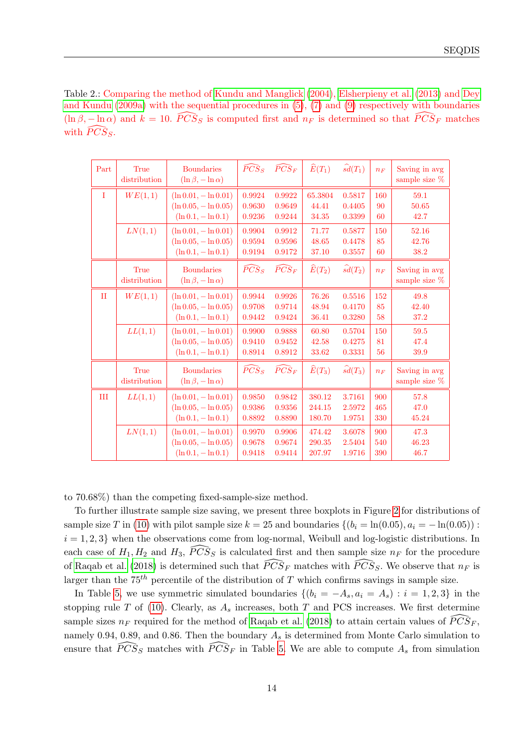<span id="page-13-0"></span>Table 2.: Comparing the method of [Kundu and Manglick](#page-27-9) [\(2004\)](#page-27-9), [Elsherpieny et al.](#page-27-10) [\(2013\)](#page-27-10) and [Dey](#page-27-5) [and Kundu](#page-27-5) [\(2009a\)](#page-27-5) with the sequential procedures in [\(5\)](#page-4-2), [\(7\)](#page-7-3) and [\(9\)](#page-8-3) respectively with boundaries  $(\ln \beta, -\ln \alpha)$  and  $k = 10$ .  $\widehat{PCS}_S$  is computed first and  $n_F$  is determined so that  $\widehat{PCS}_F$  matches with  $\widehat{PCS}_S$ .

| Part        | True<br>distribution | <b>Boundaries</b><br>$(\ln \beta, -\ln \alpha)$                             | $\widehat{PCS}_S$          | $\widehat{PCS}_F$          | $\widehat{E}(T_1)$         | $\widehat{sd}(T_1)$        | $n_F$             | Saving in avg<br>sample size $%$ |
|-------------|----------------------|-----------------------------------------------------------------------------|----------------------------|----------------------------|----------------------------|----------------------------|-------------------|----------------------------------|
| $\mathbf I$ | WE(1,1)              | $(\ln 0.01, -\ln 0.01)$<br>$(\ln 0.05, -\ln 0.05)$<br>$(\ln 0.1, -\ln 0.1)$ | 0.9924<br>0.9630<br>0.9236 | 0.9922<br>0.9649<br>0.9244 | 65.3804<br>44.41<br>34.35  | 0.5817<br>0.4405<br>0.3399 | 160<br>90<br>60   | 59.1<br>50.65<br>42.7            |
|             | LN(1,1)              | $(\ln 0.01, -\ln 0.01)$<br>$(\ln 0.05, -\ln 0.05)$<br>$(\ln 0.1, -\ln 0.1)$ | 0.9904<br>0.9594<br>0.9194 | 0.9912<br>0.9596<br>0.9172 | 71.77<br>48.65<br>37.10    | 0.5877<br>0.4478<br>0.3557 | 150<br>85<br>60   | 52.16<br>42.76<br>38.2           |
|             | True<br>distribution | <b>Boundaries</b><br>$(\ln \beta, -\ln \alpha)$                             | $\widehat{PCS}_S$          | $\widehat{PCS}_{F}$        | $\widehat{E}(T_2)$         | $\widehat{sd}(T_2)$        | $\mathfrak{n}_F$  | Saving in avg<br>sample size %   |
| $_{\rm II}$ | WE(1,1)              | $(\ln 0.01, -\ln 0.01)$<br>$(\ln 0.05, -\ln 0.05)$<br>$(\ln 0.1, -\ln 0.1)$ | 0.9944<br>0.9708<br>0.9442 | 0.9926<br>0.9714<br>0.9424 | 76.26<br>48.94<br>36.41    | 0.5516<br>0.4170<br>0.3280 | 152<br>85<br>58   | 49.8<br>42.40<br>37.2            |
|             | LL(1,1)              | $(\ln 0.01, -\ln 0.01)$<br>$(\ln 0.05, -\ln 0.05)$<br>$(\ln 0.1, -\ln 0.1)$ | 0.9900<br>0.9410<br>0.8914 | 0.9888<br>0.9452<br>0.8912 | 60.80<br>42.58<br>33.62    | 0.5704<br>0.4275<br>0.3331 | 150<br>81<br>56   | 59.5<br>47.4<br>39.9             |
|             | True<br>distribution | <b>Boundaries</b><br>$(\ln \beta, -\ln \alpha)$                             | $\widehat{PCS}_S$          | $\widehat{PCS}_F$          | $\widehat{E}(T_3)$         | $\widehat{sd}(T_3)$        | $n_F$             | Saving in avg<br>sample size $%$ |
| Ш           | LL(1,1)              | $(\ln 0.01, -\ln 0.01)$<br>$(\ln 0.05, -\ln 0.05)$<br>$(\ln 0.1, -\ln 0.1)$ | 0.9850<br>0.9386<br>0.8892 | 0.9842<br>0.9356<br>0.8890 | 380.12<br>244.15<br>180.70 | 3.7161<br>2.5972<br>1.9751 | 900<br>465<br>330 | 57.8<br>47.0<br>45.24            |
|             | LN(1,1)              | $(\ln 0.01, -\ln 0.01)$<br>$(\ln 0.05, -\ln 0.05)$<br>$(\ln 0.1, -\ln 0.1)$ | 0.9970<br>0.9678<br>0.9418 | 0.9906<br>0.9674<br>0.9414 | 474.42<br>290.35<br>207.97 | 3.6078<br>2.5404<br>1.9716 | 900<br>540<br>390 | 47.3<br>46.23<br>46.7            |

to 70.68%) than the competing fixed-sample-size method.

To further illustrate sample size saving, we present three boxplots in Figure [2](#page-15-1) for distributions of sample size T in [\(10\)](#page-10-0) with pilot sample size  $k = 25$  and boundaries  $\{(b_i = \ln(0.05), a_i = -\ln(0.05))$ :  $i = 1, 2, 3$  when the observations come from log-normal, Weibull and log-logistic distributions. In each case of  $H_1, H_2$  and  $H_3, \overline{PCS}_S$  is calculated first and then sample size  $n_F$  for the procedure of [Raqab et al.](#page-28-2) [\(2018\)](#page-28-2) is determined such that  $\widehat{PCS}_F$  matches with  $\widehat{PCS}_S$ . We observe that  $n_F$  is larger than the  $75<sup>th</sup>$  percentile of the distribution of T which confirms savings in sample size.

In Table [5,](#page-16-1) we use symmetric simulated boundaries  $\{(b_i = -A_s, a_i = A_s) : i = 1, 2, 3\}$  in the stopping rule  $T$  of [\(10\)](#page-10-0). Clearly, as  $A_s$  increases, both  $T$  and PCS increases. We first determine sample sizes  $n_F$  required for the method of [Raqab et al.](#page-28-2) [\(2018\)](#page-28-2) to attain certain values of  $\widehat{PCS}_F$ , namely 0.94, 0.89, and 0.86. Then the boundary  $A_s$  is determined from Monte Carlo simulation to ensure that  $\widehat{PCS}_S$  matches with  $\widehat{PCS}_F$  in Table [5.](#page-16-1) We are able to compute  $A_s$  from simulation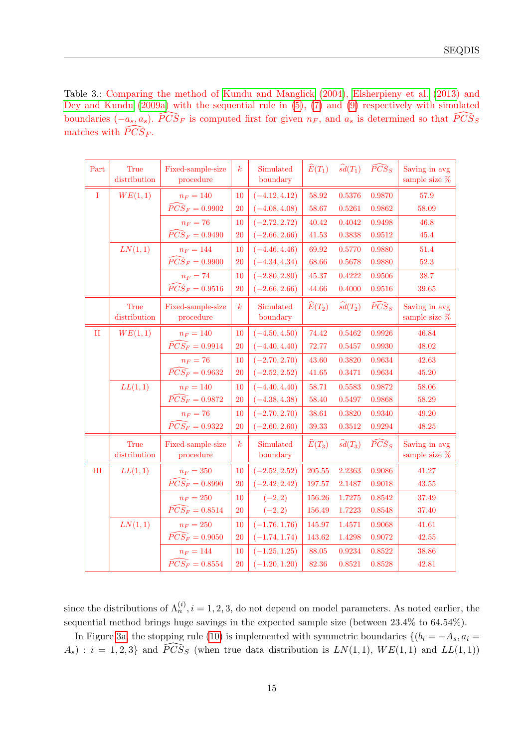<span id="page-14-0"></span>Table 3.: Comparing the method of [Kundu and Manglick](#page-27-9) [\(2004\)](#page-27-9), [Elsherpieny et al.](#page-27-10) [\(2013\)](#page-27-10) and [Dey and Kundu](#page-27-5) [\(2009a\)](#page-27-5) with the sequential rule in [\(5\)](#page-4-2), [\(7\)](#page-7-3) and [\(9\)](#page-8-3) respectively with simulated boundaries  $(-a_s, a_s)$ .  $\widehat{PCS}_F$  is computed first for given  $n_F$ , and  $a_s$  is determined so that  $\widehat{PCS}_S$ matches with  $\widehat{PCS}_F$ .

| Part        | <b>True</b><br>distribution | Fixed-sample-size<br>procedure                    | $\boldsymbol{k}$ | Simulated<br>boundary | $\widehat{E}(T_1)$ | $\widehat{sd}(T_1)$ | $\widehat{PCS}_S$ | Saving in avg<br>sample size $%$  |
|-------------|-----------------------------|---------------------------------------------------|------------------|-----------------------|--------------------|---------------------|-------------------|-----------------------------------|
| $\rm I$     | WE(1,1)                     | $n_F = 140$                                       | 10               | $(-4.12, 4.12)$       | 58.92              | 0.5376              | 0.9870            | 57.9                              |
|             |                             | $\overline{P}\overline{C}\overline{S}_F = 0.9902$ | 20               | $(-4.08, 4.08)$       | 58.67              | 0.5261              | 0.9862            | 58.09                             |
|             |                             | $n_F = 76$                                        | 10               | $(-2.72, 2.72)$       | 40.42              | 0.4042              | 0.9498            | 46.8                              |
|             |                             | $\widehat{PCS}_F = 0.9490$                        | <b>20</b>        | $(-2.66, 2.66)$       | 41.53              | 0.3838              | 0.9512            | 45.4                              |
|             | LN(1,1)                     | $n_F = 144$                                       | 10               | $(-4.46, 4.46)$       | 69.92              | 0.5770              | 0.9880            | 51.4                              |
|             |                             | $\widehat{PCS}_F = 0.9900$                        | 20               | $(-4.34, 4.34)$       | 68.66              | 0.5678              | 0.9880            | 52.3                              |
|             |                             | $n_F = 74$                                        | 10               | $(-2.80, 2.80)$       | 45.37              | 0.4222              | 0.9506            | 38.7                              |
|             |                             | $\widehat{PCS}_F = 0.9516$                        | 20               | $(-2.66, 2.66)$       | 44.66              | 0.4000              | 0.9516            | 39.65                             |
|             | <b>True</b><br>distribution | Fixed-sample-size<br>procedure                    | $\boldsymbol{k}$ | Simulated<br>boundary | $\widehat{E}(T_2)$ | $\widehat{sd}(T_2)$ | $\widehat{PCS}_S$ | Saving in avg<br>sample size $%$  |
|             |                             |                                                   |                  |                       |                    |                     |                   |                                   |
| $_{\rm II}$ | WE(1,1)                     | $n_F = 140$<br>$\widehat{PCS_F} = 0.9914$         | 10               | $(-4.50, 4.50)$       | 74.42              | 0.5462              | 0.9926            | 46.84                             |
|             |                             |                                                   | 20               | $(-4.40, 4.40)$       | 72.77              | 0.5457              | 0.9930            | 48.02                             |
|             |                             | $n_F = 76$<br>$\widehat{PCS_F} = 0.9632$          | 10               | $(-2.70, 2.70)$       | 43.60              | 0.3820              | 0.9634            | 42.63                             |
|             |                             |                                                   | 20               | $(-2.52, 2.52)$       | 41.65              | 0.3471              | 0.9634            | 45.20                             |
|             | LL(1,1)                     | $n_F = 140$                                       | 10               | $(-4.40, 4.40)$       | 58.71              | 0.5583              | 0.9872            | 58.06                             |
|             |                             | $\widehat{PCS_F} = 0.9872$                        | <b>20</b>        | $(-4.38, 4.38)$       | 58.40              | 0.5497              | 0.9868            | 58.29                             |
|             |                             | $n_F = 76$                                        | 10               | $(-2.70, 2.70)$       | 38.61              | 0.3820              | 0.9340            | 49.20                             |
|             |                             | $\widehat{PCS_F} = 0.9322$                        | 20               | $(-2.60, 2.60)$       | 39.33              | 0.3512              | 0.9294            | 48.25                             |
|             | True<br>distribution        | Fixed-sample-size<br>procedure                    | $\boldsymbol{k}$ | Simulated<br>boundary | $\widehat{E}(T_3)$ | $\widehat{sd}(T_3)$ | $\widehat{PCS}_S$ | Saving in avg<br>sample size $\%$ |
| III         | LL(1,1)                     | $n_F = 350$                                       | 10               | $(-2.52, 2.52)$       | 205.55             | 2.2363              | 0.9086            | 41.27                             |
|             |                             | $\widehat{PCS_F} = 0.8990$                        | 20               | $(-2.42, 2.42)$       | 197.57             | 2.1487              | 0.9018            | 43.55                             |
|             |                             | $n_F = 250$                                       | 10               | $(-2, 2)$             | 156.26             | 1.7275              | 0.8542            | 37.49                             |
|             |                             | $\widehat{PCS_F} = 0.8514$                        | 20               | $(-2, 2)$             | 156.49             | 1.7223              | 0.8548            | 37.40                             |
|             | LN(1,1)                     | $n_F = 250$                                       | 10               | $(-1.76, 1.76)$       | 145.97             | 1.4571              | 0.9068            | 41.61                             |
|             |                             | $\widehat{PCS_F} = 0.9050$                        | 20               | $(-1.74, 1.74)$       | 143.62             | 1.4298              | 0.9072            | 42.55                             |
|             |                             | $n_F = 144$                                       | 10               | $(-1.25, 1.25)$       | 88.05              | 0.9234              | 0.8522            | 38.86                             |
|             |                             | $\widehat{PCS_F} = 0.8554$                        | 20               | $(-1.20, 1.20)$       | 82.36              | 0.8521              | 0.8528            | 42.81                             |

since the distributions of  $\Lambda_n^{(i)}$ ,  $i = 1, 2, 3$ , do not depend on model parameters. As noted earlier, the sequential method brings huge savings in the expected sample size (between 23.4% to 64.54%).

In Figure [3a,](#page-17-0) the stopping rule [\(10\)](#page-10-0) is implemented with symmetric boundaries  $\{(b_i = -A_s, a_i =$  $A_s$ ) :  $i = 1, 2, 3$  and  $\widehat{PCS}_S$  (when true data distribution is  $LN(1, 1), WE(1, 1)$  and  $LL(1, 1)$ )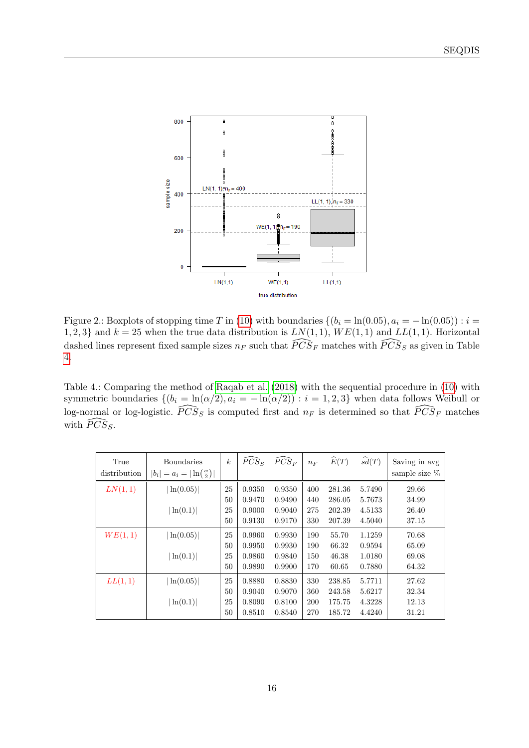<span id="page-15-1"></span>

Figure 2.: Boxplots of stopping time T in [\(10\)](#page-10-0) with boundaries  $\{(b_i = \ln(0.05), a_i = -\ln(0.05)) : i =$ 1, 2, 3} and  $k = 25$  when the true data distribution is  $LN(1, 1)$ ,  $WE(1, 1)$  and  $LL(1, 1)$ . Horizontal dashed lines represent fixed sample sizes  $n_F$  such that  $\widehat{PCS}_F$  matches with  $\widehat{PCS}_S$  as given in Table [4.](#page-15-0)

<span id="page-15-0"></span>Table 4.: Comparing the method of [Raqab et al.](#page-28-2) [\(2018\)](#page-28-2) with the sequential procedure in [\(10\)](#page-10-0) with symmetric boundaries  $\{(b_i = \ln(\alpha/2), a_i = -\ln(\alpha/2)) : i = 1, 2, 3\}$  when data follows Weibull or log-normal or log-logistic.  $\widehat{PCS}_S$  is computed first and  $n_F$  is determined so that  $\widehat{PCS}_F$  matches with  $\widehat{PCS}_S$ .

| True<br>distribution | <b>Boundaries</b><br>$ b_i  = a_i =  \ln(\frac{\alpha}{2}) $ | $\boldsymbol{k}$ | $\widehat{PCS}_{S}$ | $\widehat{PCS}_{F}$ | $n_F$ | $\widehat{E}(T)$ | $\widehat{sd}(T)$ | Saving in avg<br>sample size $%$ |
|----------------------|--------------------------------------------------------------|------------------|---------------------|---------------------|-------|------------------|-------------------|----------------------------------|
| LN(1,1)              | ln(0.05)                                                     | 25               | 0.9350              | 0.9350              | 400   | 281.36           | 5.7490            | 29.66                            |
|                      |                                                              | 50               | 0.9470              | 0.9490              | 440   | 286.05           | 5.7673            | 34.99                            |
|                      | ln(0.1)                                                      | 25               | 0.9000              | 0.9040              | 275   | 202.39           | 4.5133            | 26.40                            |
|                      |                                                              | 50               | 0.9130              | 0.9170              | 330   | 207.39           | 4.5040            | 37.15                            |
| WE(1,1)              | ln(0.05)                                                     | 25               | 0.9960              | 0.9930              | 190   | 55.70            | 1.1259            | 70.68                            |
|                      |                                                              | 50               | 0.9950              | 0.9930              | 190   | 66.32            | 0.9594            | 65.09                            |
|                      | ln(0.1)                                                      | 25               | 0.9860              | 0.9840              | 150   | 46.38            | 1.0180            | 69.08                            |
|                      |                                                              | 50               | 0.9890              | 0.9900              | 170   | 60.65            | 0.7880            | 64.32                            |
| LL(1,1)              | ln(0.05)                                                     | 25               | 0.8880              | 0.8830              | 330   | 238.85           | 5.7711            | 27.62                            |
|                      |                                                              | 50               | 0.9040              | 0.9070              | 360   | 243.58           | 5.6217            | 32.34                            |
|                      | ln(0.1)                                                      | 25               | 0.8090              | 0.8100              | 200   | 175.75           | 4.3228            | 12.13                            |
|                      |                                                              | 50               | 0.8510              | 0.8540              | 270   | 185.72           | 4.4240            | 31.21                            |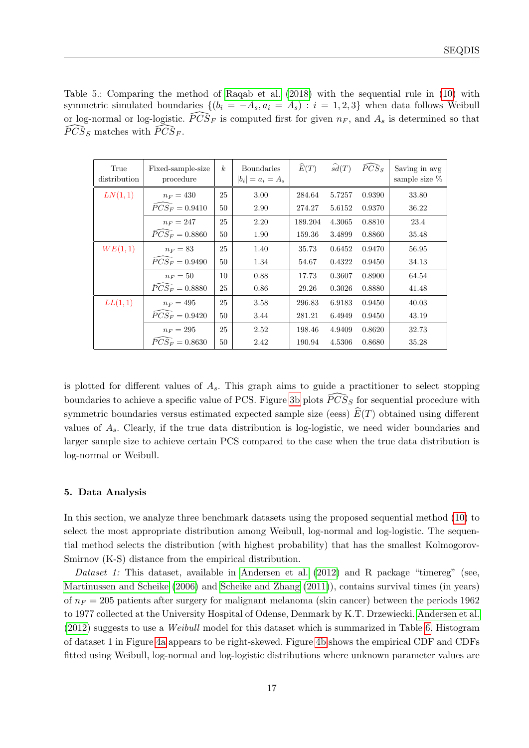<span id="page-16-1"></span>Table 5.: Comparing the method of [Raqab et al.](#page-28-2) [\(2018\)](#page-28-2) with the sequential rule in [\(10\)](#page-10-0) with symmetric simulated boundaries  $\{(b_i = -A_s, a_i = A_s) : i = 1, 2, 3\}$  when data follows Weibull or log-normal or log-logistic.  $\widehat{P} \widehat{CS}_F$  is computed first for given  $n_F$ , and  $A_s$  is determined so that  $\widehat{PCS}_S$  matches with  $\widehat{PCS}_F$ .

| True<br>distribution | Fixed-sample-size<br>procedure | $\boldsymbol{k}$ | Boundaries<br>$ b_i  = a_i = A_s$ | $\widehat{E}(T)$ | $\widehat{sd}(T)$ | $\widehat{PCS}_S$ | Saving in avg<br>sample size % |
|----------------------|--------------------------------|------------------|-----------------------------------|------------------|-------------------|-------------------|--------------------------------|
| LN(1,1)              | $n_F = 430$                    | 25               | 3.00                              | 284.64           | 5.7257            | 0.9390            | 33.80                          |
|                      | $\widehat{P}CS_F = 0.9410$     | 50               | 2.90                              | 274.27           | 5.6152            | 0.9370            | 36.22                          |
|                      | $n_F = 247$                    | 25               | 2.20                              | 189.204          | 4.3065            | 0.8810            | 23.4                           |
|                      | $\widehat{P}CS_F=0.8860$       | 50               | 1.90                              | 159.36           | 3.4899            | 0.8860            | 35.48                          |
| WE(1,1)              | $n_F=83$                       | 25               | 1.40                              | 35.73            | 0.6452            | 0.9470            | 56.95                          |
|                      | $\widehat{PCS_F} = 0.9490$     | 50               | 1.34                              | 54.67            | 0.4322            | 0.9450            | 34.13                          |
|                      | $n_F=50$                       | 10               | 0.88                              | 17.73            | 0.3607            | 0.8900            | 64.54                          |
|                      | $\widehat{P}CS_F = 0.8880$     | 25               | 0.86                              | 29.26            | 0.3026            | 0.8880            | 41.48                          |
| LL(1,1)              | $n_F = 495$                    | 25               | 3.58                              | 296.83           | 6.9183            | 0.9450            | 40.03                          |
|                      | $\widehat{P}CS_F=0.9420$       | 50               | 3.44                              | 281.21           | 6.4949            | 0.9450            | 43.19                          |
|                      | $n_F=295$                      | 25               | 2.52                              | 198.46           | 4.9409            | 0.8620            | 32.73                          |
|                      | $\overline{P}CS_F=0.8630$      | 50               | 2.42                              | 190.94           | 4.5306            | 0.8680            | 35.28                          |

is plotted for different values of  $A_s$ . This graph aims to guide a practitioner to select stopping boundaries to achieve a specific value of PCS. Figure [3b](#page-17-1) plots  $\widehat{PCS}_S$  for sequential procedure with symmetric boundaries versus estimated expected sample size (eess)  $\widehat{E}(T)$  obtained using different values of  $A_s$ . Clearly, if the true data distribution is log-logistic, we need wider boundaries and larger sample size to achieve certain PCS compared to the case when the true data distribution is log-normal or Weibull.

## <span id="page-16-0"></span>5. Data Analysis

In this section, we analyze three benchmark datasets using the proposed sequential method [\(10\)](#page-10-0) to select the most appropriate distribution among Weibull, log-normal and log-logistic. The sequential method selects the distribution (with highest probability) that has the smallest Kolmogorov-Smirnov (K-S) distance from the empirical distribution.

Dataset 1: This dataset, available in [Andersen et al.](#page-26-0) [\(2012\)](#page-26-0) and R package "timereg" (see, [Martinussen and Scheike](#page-28-14) [\(2006\)](#page-28-14) and [Scheike and Zhang](#page-28-15) [\(2011\)](#page-28-15)), contains survival times (in years) of  $n_F = 205$  patients after surgery for malignant melanoma (skin cancer) between the periods 1962 to 1977 collected at the University Hospital of Odense, Denmark by K.T. Drzewiecki. [Andersen et al.](#page-26-0) [\(2012\)](#page-26-0) suggests to use a Weibull model for this dataset which is summarized in Table [6.](#page-17-2) Histogram of dataset 1 in Figure [4a](#page-18-0) appears to be right-skewed. Figure [4b](#page-18-1) shows the empirical CDF and CDFs fitted using Weibull, log-normal and log-logistic distributions where unknown parameter values are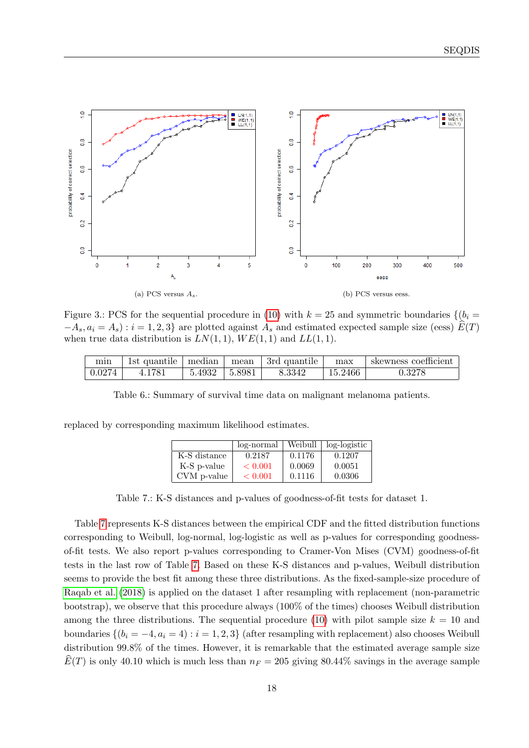<span id="page-17-0"></span>

Figure 3.: PCS for the sequential procedure in [\(10\)](#page-10-0) with  $k = 25$  and symmetric boundaries  $\{(b_i =$  $-A_s, a_i = A_s$ ) :  $i = 1, 2, 3$  are plotted against  $A_s$  and estimated expected sample size (eess)  $\widehat{E}(T)$ when true data distribution is  $LN(1, 1)$ ,  $WE(1, 1)$  and  $LL(1, 1)$ .

<span id="page-17-2"></span>

| min    |        |                     | 1st quantile   median   mean   3rd quantile | max     | $\perp$ skewness coefficient |
|--------|--------|---------------------|---------------------------------------------|---------|------------------------------|
| 0.0274 | 4.1781 | $5.4932$   $5.8981$ | 8.3342                                      | 15.2466 | ${0.3278}$                   |

Table 6.: Summary of survival time data on malignant melanoma patients.

<span id="page-17-3"></span>replaced by corresponding maximum likelihood estimates.

<span id="page-17-1"></span>

|              | log-normal | Weibull | log-logistic |
|--------------|------------|---------|--------------|
| K-S distance | 0.2187     | 0.1176  | 0.1207       |
| K-S p-value  | < 0.001    | 0.0069  | 0.0051       |
| CVM p-value  | < 0.001    | 0.1116  | 0.0306       |

Table 7.: K-S distances and p-values of goodness-of-fit tests for dataset 1.

Table [7](#page-17-3) represents K-S distances between the empirical CDF and the fitted distribution functions corresponding to Weibull, log-normal, log-logistic as well as p-values for corresponding goodnessof-fit tests. We also report p-values corresponding to Cramer-Von Mises (CVM) goodness-of-fit tests in the last row of Table [7.](#page-17-3) Based on these K-S distances and p-values, Weibull distribution seems to provide the best fit among these three distributions. As the fixed-sample-size procedure of [Raqab et al.](#page-28-2) [\(2018\)](#page-28-2) is applied on the dataset 1 after resampling with replacement (non-parametric bootstrap), we observe that this procedure always (100% of the times) chooses Weibull distribution among the three distributions. The sequential procedure [\(10\)](#page-10-0) with pilot sample size  $k = 10$  and boundaries  $\{(b_i = -4, a_i = 4) : i = 1, 2, 3\}$  (after resampling with replacement) also chooses Weibull distribution 99.8% of the times. However, it is remarkable that the estimated average sample size  $E(T)$  is only 40.10 which is much less than  $n_F = 205$  giving 80.44% savings in the average sample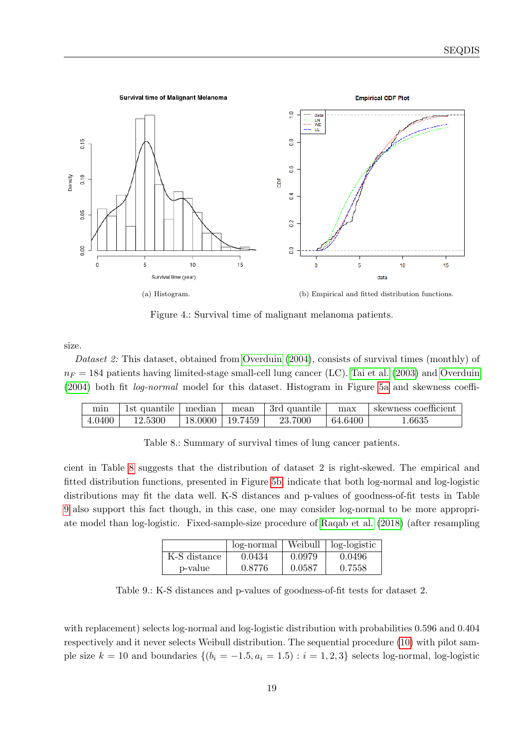<span id="page-18-0"></span>

<span id="page-18-1"></span>Figure 4.: Survival time of malignant melanoma patients.

size.

Dataset 2: This dataset, obtained from [Overduin](#page-28-0) [\(2004\)](#page-28-0), consists of survival times (monthly) of  $n_F = 184$  patients having limited-stage small-cell lung cancer (LC). [Tai et al.](#page-28-1) [\(2003\)](#page-28-1) and [Overduin](#page-28-0) [\(2004\)](#page-28-0) both fit log-normal model for this dataset. Histogram in Figure [5a](#page-19-0) and skewness coeffi-

<span id="page-18-2"></span>

| mın    | Ist quantile | median  | mean    | 3rd quantile | max     | skewness coefficient |
|--------|--------------|---------|---------|--------------|---------|----------------------|
| 4.0400 | 12.5300      | 18.0000 | 19.7459 | 23.7000      | 64.6400 | 1.6635               |

Table 8.: Summary of survival times of lung cancer patients.

<span id="page-18-3"></span>cient in Table [8](#page-18-2) suggests that the distribution of dataset 2 is right-skewed. The empirical and fitted distribution functions, presented in Figure [5b,](#page-19-1) indicate that both log-normal and log-logistic distributions may fit the data well. K-S distances and p-values of goodness-of-fit tests in Table [9](#page-18-3) also support this fact though, in this case, one may consider log-normal to be more appropriate model than log-logistic. Fixed-sample-size procedure of [Raqab et al.](#page-28-2) [\(2018\)](#page-28-2) (after resampling

|              | log-normal |        | Weibull   log-logistic |
|--------------|------------|--------|------------------------|
| K-S distance | 0.0434     | 0.0979 | 0.0496                 |
| p-value      | 0.8776     | 0.0587 | 0.7558                 |

Table 9.: K-S distances and p-values of goodness-of-fit tests for dataset 2.

with replacement) selects log-normal and log-logistic distribution with probabilities 0.596 and 0.404 respectively and it never selects Weibull distribution. The sequential procedure [\(10\)](#page-10-0) with pilot sample size  $k = 10$  and boundaries  $\{(b_i = -1.5, a_i = 1.5) : i = 1, 2, 3\}$  selects log-normal, log-logistic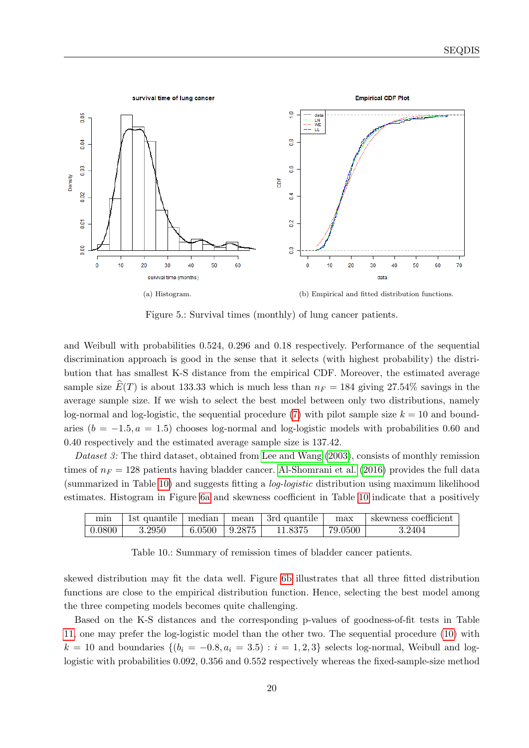<span id="page-19-0"></span>

<span id="page-19-1"></span>Figure 5.: Survival times (monthly) of lung cancer patients.

and Weibull with probabilities 0.524, 0.296 and 0.18 respectively. Performance of the sequential discrimination approach is good in the sense that it selects (with highest probability) the distribution that has smallest K-S distance from the empirical CDF. Moreover, the estimated average sample size  $\widehat{E}(T)$  is about 133.33 which is much less than  $n_F = 184$  giving 27.54% savings in the average sample size. If we wish to select the best model between only two distributions, namely log-normal and log-logistic, the sequential procedure [\(7\)](#page-7-3) with pilot sample size  $k = 10$  and boundaries  $(b = -1.5, a = 1.5)$  chooses log-normal and log-logistic models with probabilities 0.60 and 0.40 respectively and the estimated average sample size is 137.42.

Dataset 3: The third dataset, obtained from [Lee and Wang](#page-27-2)  $(2003)$ , consists of monthly remission times of  $n_F = 128$  patients having bladder cancer. [Al-Shomrani et al.](#page-26-3) [\(2016\)](#page-26-3) provides the full data (summarized in Table [10\)](#page-19-2) and suggests fitting a log-logistic distribution using maximum likelihood estimates. Histogram in Figure [6a](#page-20-1) and skewness coefficient in Table [10](#page-19-2) indicate that a positively

<span id="page-19-2"></span>

| mın    | 1st quantile | ∣ median            | mean | 3rd quantile | max     | 'skewness coefficient |
|--------|--------------|---------------------|------|--------------|---------|-----------------------|
| 0.0800 | 3.2950       | $6.0500$   $9.2875$ |      | 11.8375      | 79.0500 | $3.2404\,$            |

Table 10.: Summary of remission times of bladder cancer patients.

skewed distribution may fit the data well. Figure [6b](#page-20-2) illustrates that all three fitted distribution functions are close to the empirical distribution function. Hence, selecting the best model among the three competing models becomes quite challenging.

Based on the K-S distances and the corresponding p-values of goodness-of-fit tests in Table [11,](#page-20-3) one may prefer the log-logistic model than the other two. The sequential procedure [\(10\)](#page-10-0) with  $k = 10$  and boundaries  $\{(b_i = -0.8, a_i = 3.5) : i = 1, 2, 3\}$  selects log-normal, Weibull and loglogistic with probabilities 0.092, 0.356 and 0.552 respectively whereas the fixed-sample-size method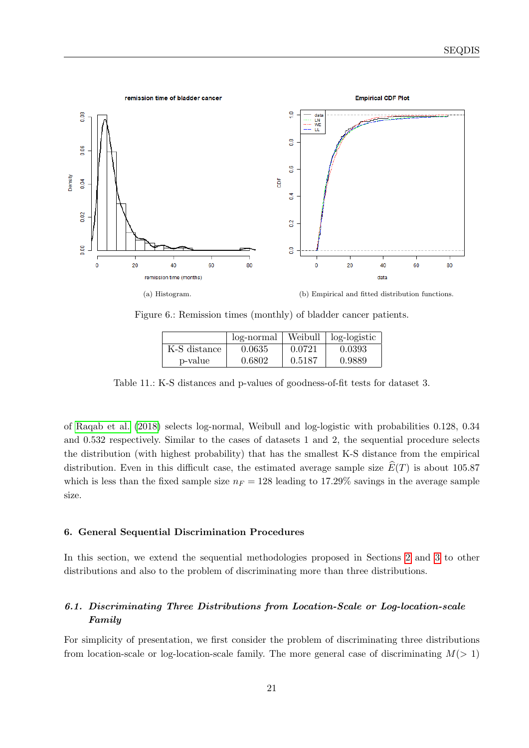<span id="page-20-1"></span>

Figure 6.: Remission times (monthly) of bladder cancer patients.

<span id="page-20-2"></span>

|              | log-normal | Weibull | log-logistic |
|--------------|------------|---------|--------------|
| K-S distance | 0.0635     | 0.0721  | 0.0393       |
| p-value      | 0.6802     | 0.5187  | 0.9889       |

<span id="page-20-3"></span>Table 11.: K-S distances and p-values of goodness-of-fit tests for dataset 3.

of [Raqab et al.](#page-28-2) [\(2018\)](#page-28-2) selects log-normal, Weibull and log-logistic with probabilities 0.128, 0.34 and 0.532 respectively. Similar to the cases of datasets 1 and 2, the sequential procedure selects the distribution (with highest probability) that has the smallest K-S distance from the empirical distribution. Even in this difficult case, the estimated average sample size  $\widehat{E}(T)$  is about 105.87 which is less than the fixed sample size  $n_F = 128$  leading to 17.29% savings in the average sample size.

## <span id="page-20-0"></span>6. General Sequential Discrimination Procedures

In this section, we extend the sequential methodologies proposed in Sections [2](#page-3-0) and [3](#page-9-0) to other distributions and also to the problem of discriminating more than three distributions.

## <span id="page-20-4"></span>6.1. Discriminating Three Distributions from Location-Scale or Log-location-scale Family

For simplicity of presentation, we first consider the problem of discriminating three distributions from location-scale or log-location-scale family. The more general case of discriminating  $M(> 1)$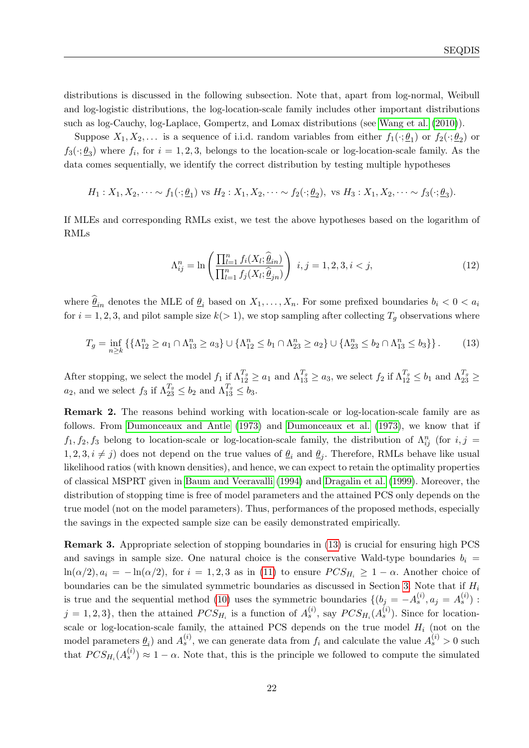distributions is discussed in the following subsection. Note that, apart from log-normal, Weibull and log-logistic distributions, the log-location-scale family includes other important distributions such as log-Cauchy, log-Laplace, Gompertz, and Lomax distributions (see [Wang et al.](#page-28-16) [\(2010\)](#page-28-16)).

Suppose  $X_1, X_2, \ldots$  is a sequence of i.i.d. random variables from either  $f_1(\cdot; \underline{\theta}_1)$  or  $f_2(\cdot; \underline{\theta}_2)$  or  $f_3(\cdot;\underline{\theta}_3)$  where  $f_i$ , for  $i=1,2,3$ , belongs to the location-scale or log-location-scale family. As the data comes sequentially, we identify the correct distribution by testing multiple hypotheses

$$
H_1: X_1, X_2, \cdots \sim f_1(\cdot; \underline{\theta}_1) \text{ vs } H_2: X_1, X_2, \cdots \sim f_2(\cdot; \underline{\theta}_2), \text{ vs } H_3: X_1, X_2, \cdots \sim f_3(\cdot; \underline{\theta}_3).
$$

If MLEs and corresponding RMLs exist, we test the above hypotheses based on the logarithm of RMLs

<span id="page-21-2"></span><span id="page-21-1"></span>
$$
\Lambda_{ij}^{n} = \ln \left( \frac{\prod_{l=1}^{n} f_{i}(X_{l}; \hat{\underline{\theta}}_{in})}{\prod_{l=1}^{n} f_{j}(X_{l}; \hat{\underline{\theta}}_{in})} \right) \ i, j = 1, 2, 3, i < j,\tag{12}
$$

where  $\widehat{\theta}_{in}$  denotes the MLE of  $\underline{\theta}_i$  based on  $X_1, \ldots, X_n$ . For some prefixed boundaries  $b_i < 0 < a_i$ for  $i = 1, 2, 3$ , and pilot sample size  $k(> 1)$ , we stop sampling after collecting  $T<sub>q</sub>$  observations where

$$
T_g = \inf_{n \ge k} \left\{ \{\Lambda_{12}^n \ge a_1 \cap \Lambda_{13}^n \ge a_3 \} \cup \{\Lambda_{12}^n \le b_1 \cap \Lambda_{23}^n \ge a_2 \} \cup \{\Lambda_{23}^n \le b_2 \cap \Lambda_{13}^n \le b_3 \} \right\}.
$$
 (13)

After stopping, we select the model  $f_1$  if  $\Lambda_{12}^{T_g} \ge a_1$  and  $\Lambda_{13}^{T_g} \ge a_3$ , we select  $f_2$  if  $\Lambda_{12}^{T_g} \le b_1$  and  $\Lambda_{23}^{T_g} \ge$  $a_2$ , and we select  $f_3$  if  $\Lambda_{23}^{T_g} \leq b_2$  and  $\Lambda_{13}^{T_g} \leq b_3$ .

Remark 2. The reasons behind working with location-scale or log-location-scale family are as follows. From [Dumonceaux and Antle](#page-27-14) [\(1973\)](#page-27-14) and [Dumonceaux et al.](#page-27-15) [\(1973\)](#page-27-15), we know that if  $f_1, f_2, f_3$  belong to location-scale or log-location-scale family, the distribution of  $\Lambda_{ij}^n$  (for  $i, j =$  $1, 2, 3, i \neq j$  does not depend on the true values of  $\underline{\theta}_i$  and  $\underline{\theta}_j$ . Therefore, RMLs behave like usual likelihood ratios (with known densities), and hence, we can expect to retain the optimality properties of classical MSPRT given in [Baum and Veeravalli](#page-26-2) [\(1994\)](#page-26-2) and [Dragalin et al.](#page-27-17) [\(1999\)](#page-27-17). Moreover, the distribution of stopping time is free of model parameters and the attained PCS only depends on the true model (not on the model parameters). Thus, performances of the proposed methods, especially the savings in the expected sample size can be easily demonstrated empirically.

<span id="page-21-0"></span>Remark 3. Appropriate selection of stopping boundaries in [\(13\)](#page-21-1) is crucial for ensuring high PCS and savings in sample size. One natural choice is the conservative Wald-type boundaries  $b_i =$  $ln(\alpha/2), a_i = -ln(\alpha/2)$ , for  $i = 1, 2, 3$  as in [\(11\)](#page-10-1) to ensure  $PCS_{H_i} \geq 1 - \alpha$ . Another choice of boundaries can be the simulated symmetric boundaries as discussed in Section [3.](#page-9-0) Note that if  $H_i$ is true and the sequential method [\(10\)](#page-10-0) uses the symmetric boundaries  $\{(b_j = -A_s^{(i)}, a_j = A_s^{(i)})\}$  $j = 1, 2, 3$ , then the attained  $PCS_{H_i}$  is a function of  $A_s^{(i)}$ , say  $PCS_{H_i}(A_s^{(i)})$ . Since for locationscale or log-location-scale family, the attained PCS depends on the true model  $H_i$  (not on the model parameters  $\underline{\theta}_i$  and  $A_s^{(i)}$ , we can generate data from  $f_i$  and calculate the value  $A_s^{(i)} > 0$  such that  $PCS_{H_i}(A_s^{(i)}) \approx 1 - \alpha$ . Note that, this is the principle we followed to compute the simulated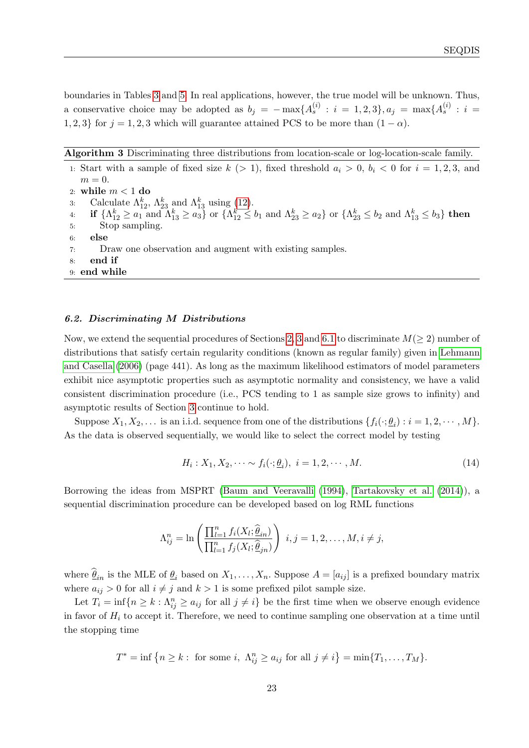boundaries in Tables [3](#page-14-0) and [5.](#page-16-1) In real applications, however, the true model will be unknown. Thus, a conservative choice may be adopted as  $b_j = -\max\{A_s^{(i)} : i = 1, 2, 3\}, a_j = \max\{A_s^{(i)} : i = 1, 2, 3\}$ 1, 2, 3} for  $j = 1, 2, 3$  which will guarantee attained PCS to be more than  $(1 - \alpha)$ .

Algorithm 3 Discriminating three distributions from location-scale or log-location-scale family.

1: Start with a sample of fixed size  $k$  (> 1), fixed threshold  $a_i > 0$ ,  $b_i < 0$  for  $i = 1, 2, 3$ , and  $m = 0$ . 2: while  $m < 1$  do 3: Calculate  $\Lambda_{12}^k$ ,  $\Lambda_{23}^k$  and  $\Lambda_{13}^k$  using [\(12\)](#page-21-2).  $\begin{array}{ll} \textbf{4}: & \textbf{ if } \{ \Lambda_{12}^k \geq a_1 \text{ and } \Lambda_{13}^k \geq a_3 \} \text{ or } \{ \Lambda_{12}^k \leq b_1 \text{ and } \Lambda_{23}^k \geq a_2 \} \text{ or } \{ \Lambda_{23}^k \leq b_2 \text{ and } \Lambda_{13}^k \leq b_3 \} \textbf{ then } \end{array}$ 5: Stop sampling. 6: else 7: Draw one observation and augment with existing samples. 8: end if 9: end while

#### 6.2. Discriminating M Distributions

Now, we extend the sequential procedures of Sections [2,](#page-3-0) [3](#page-9-0) and [6.1](#page-20-4) to discriminate  $M(≥ 2)$  number of distributions that satisfy certain regularity conditions (known as regular family) given in [Lehmann](#page-27-6) [and Casella](#page-27-6) [\(2006\)](#page-27-6) (page 441). As long as the maximum likelihood estimators of model parameters exhibit nice asymptotic properties such as asymptotic normality and consistency, we have a valid consistent discrimination procedure (i.e., PCS tending to 1 as sample size grows to infinity) and asymptotic results of Section [3](#page-9-0) continue to hold.

Suppose  $X_1, X_2, \ldots$  is an i.i.d. sequence from one of the distributions  $\{f_i(\cdot; \underline{\theta}_i) : i = 1, 2, \cdots, M\}$ . As the data is observed sequentially, we would like to select the correct model by testing

<span id="page-22-0"></span>
$$
H_i: X_1, X_2, \cdots \sim f_i(\cdot; \underline{\theta}_i), \ i = 1, 2, \cdots, M. \tag{14}
$$

Borrowing the ideas from MSPRT [\(Baum and Veeravalli](#page-26-2) [\(1994\)](#page-26-2), [Tartakovsky et al.](#page-28-12) [\(2014\)](#page-28-12)), a sequential discrimination procedure can be developed based on log RML functions

$$
\Lambda_{ij}^n = \ln\left(\frac{\prod_{l=1}^n f_i(X_l; \hat{\underline{\theta}}_{in})}{\prod_{l=1}^n f_j(X_l; \hat{\underline{\theta}}_{jn})}\right) \ i, j = 1, 2, \dots, M, i \neq j,
$$

where  $\underline{\theta}_{in}$  is the MLE of  $\underline{\theta}_{i}$  based on  $X_1, \ldots, X_n$ . Suppose  $A = [a_{ij}]$  is a prefixed boundary matrix where  $a_{ij} > 0$  for all  $i \neq j$  and  $k > 1$  is some prefixed pilot sample size.

Let  $T_i = \inf\{n \geq k : \Lambda_{ij}^n \geq a_{ij} \text{ for all } j \neq i\}$  be the first time when we observe enough evidence in favor of  $H_i$  to accept it. Therefore, we need to continue sampling one observation at a time until the stopping time

$$
T^* = \inf \left\{ n \ge k : \text{ for some } i, \Lambda_{ij}^n \ge a_{ij} \text{ for all } j \ne i \right\} = \min \{ T_1, \dots, T_M \}.
$$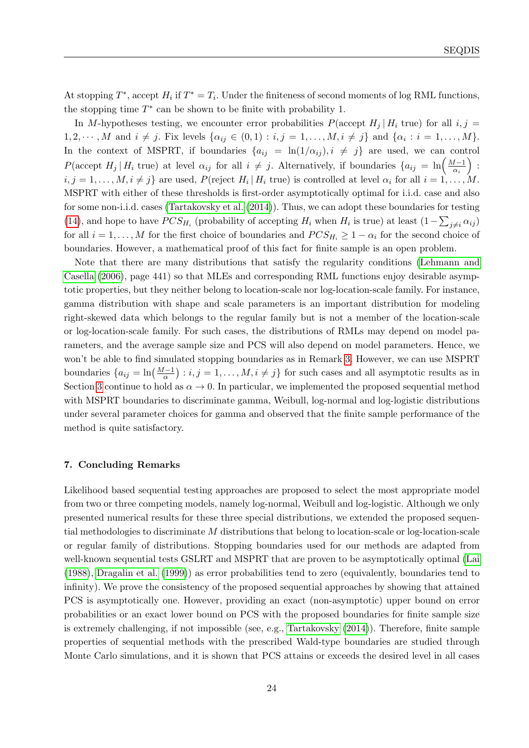At stopping  $T^*$ , accept  $H_i$  if  $T^* = T_i$ . Under the finiteness of second moments of log RML functions, the stopping time  $T^*$  can be shown to be finite with probability 1.

In M-hypotheses testing, we encounter error probabilities  $P(\text{accept } H_i | H_i \text{ true})$  for all  $i, j =$  $1, 2, \dots, M$  and  $i \neq j$ . Fix levels  $\{\alpha_{ij} \in (0,1) : i, j = 1, \dots, M, i \neq j\}$  and  $\{\alpha_i : i = 1, \dots, M\}$ . In the context of MSPRT, if boundaries  $\{a_{ij} = \ln(1/\alpha_{ij}), i \neq j\}$  are used, we can control P(accept H<sub>j</sub> | H<sub>i</sub> true) at level  $\alpha_{ij}$  for all  $i \neq j$ . Alternatively, if boundaries  $\{a_{ij} = \ln\left(\frac{M-1}{\alpha_{ij}}\right)\}$  $\frac{d-1}{\alpha_i}\bigg)$  :  $i, j = 1, \ldots, M, i \neq j$  are used,  $P(\text{reject } H_i \mid H_i \text{ true})$  is controlled at level  $\alpha_i$  for all  $i = 1, \ldots, M$ . MSPRT with either of these thresholds is first-order asymptotically optimal for i.i.d. case and also for some non-i.i.d. cases [\(Tartakovsky et al.](#page-28-12) [\(2014\)](#page-28-12)). Thus, we can adopt these boundaries for testing [\(14\)](#page-22-0), and hope to have  $PCS_{H_i}$  (probability of accepting  $H_i$  when  $H_i$  is true) at least  $(1-\sum_{j\neq i}\alpha_{ij})$ for all  $i = 1, ..., M$  for the first choice of boundaries and  $PCS_{H_i} \geq 1 - \alpha_i$  for the second choice of boundaries. However, a mathematical proof of this fact for finite sample is an open problem.

Note that there are many distributions that satisfy the regularity conditions [\(Lehmann and](#page-27-6) [Casella](#page-27-6) [\(2006\)](#page-27-6), page 441) so that MLEs and corresponding RML functions enjoy desirable asymptotic properties, but they neither belong to location-scale nor log-location-scale family. For instance, gamma distribution with shape and scale parameters is an important distribution for modeling right-skewed data which belongs to the regular family but is not a member of the location-scale or log-location-scale family. For such cases, the distributions of RMLs may depend on model parameters, and the average sample size and PCS will also depend on model parameters. Hence, we won't be able to find simulated stopping boundaries as in Remark [3.](#page-21-0) However, we can use MSPRT boundaries  $\{a_{ij} = \ln\left(\frac{M-1}{\alpha}\right) : i, j = 1, \ldots, M, i \neq j\}$  for such cases and all asymptotic results as in Section [3](#page-9-0) continue to hold as  $\alpha \to 0$ . In particular, we implemented the proposed sequential method with MSPRT boundaries to discriminate gamma, Weibull, log-normal and log-logistic distributions under several parameter choices for gamma and observed that the finite sample performance of the method is quite satisfactory.

#### <span id="page-23-0"></span>7. Concluding Remarks

Likelihood based sequential testing approaches are proposed to select the most appropriate model from two or three competing models, namely log-normal, Weibull and log-logistic. Although we only presented numerical results for these three special distributions, we extended the proposed sequential methodologies to discriminate M distributions that belong to location-scale or log-location-scale or regular family of distributions. Stopping boundaries used for our methods are adapted from well-known sequential tests GSLRT and MSPRT that are proven to be asymptotically optimal [\(Lai](#page-27-13) [\(1988\)](#page-27-13), [Dragalin et al.](#page-27-17) [\(1999\)](#page-27-17)) as error probabilities tend to zero (equivalently, boundaries tend to infinity). We prove the consistency of the proposed sequential approaches by showing that attained PCS is asymptotically one. However, providing an exact (non-asymptotic) upper bound on error probabilities or an exact lower bound on PCS with the proposed boundaries for finite sample size is extremely challenging, if not impossible (see, e.g., [Tartakovsky](#page-28-8) [\(2014\)](#page-28-8)). Therefore, finite sample properties of sequential methods with the prescribed Wald-type boundaries are studied through Monte Carlo simulations, and it is shown that PCS attains or exceeds the desired level in all cases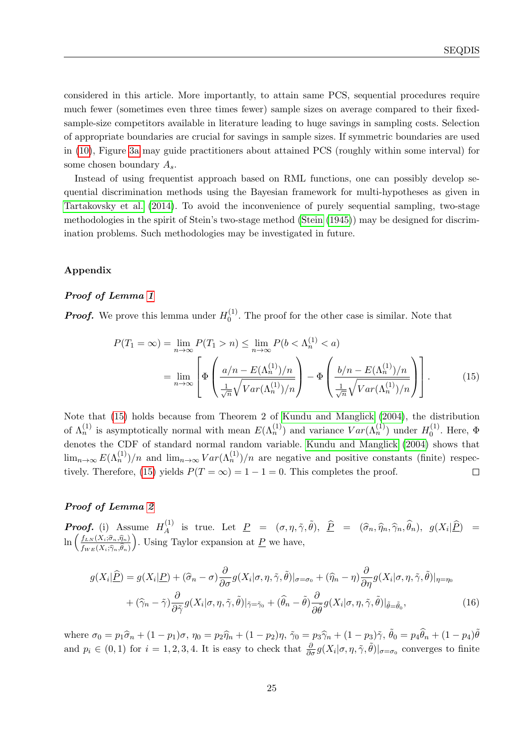considered in this article. More importantly, to attain same PCS, sequential procedures require much fewer (sometimes even three times fewer) sample sizes on average compared to their fixedsample-size competitors available in literature leading to huge savings in sampling costs. Selection of appropriate boundaries are crucial for savings in sample sizes. If symmetric boundaries are used in [\(10\)](#page-10-0), Figure [3a](#page-17-0) may guide practitioners about attained PCS (roughly within some interval) for some chosen boundary  $A_s$ .

Instead of using frequentist approach based on RML functions, one can possibly develop sequential discrimination methods using the Bayesian framework for multi-hypotheses as given in [Tartakovsky et al.](#page-28-12) [\(2014\)](#page-28-12). To avoid the inconvenience of purely sequential sampling, two-stage methodologies in the spirit of Stein's two-stage method [\(Stein](#page-28-17) [\(1945\)](#page-28-17)) may be designed for discrimination problems. Such methodologies may be investigated in future.

## Appendix

## Proof of Lemma [1](#page-5-1)

**Proof.** We prove this lemma under  $H_0^{(1)}$  $_{0}^{(1)}$ . The proof for the other case is similar. Note that

<span id="page-24-0"></span>
$$
P(T_1 = \infty) = \lim_{n \to \infty} P(T_1 > n) \le \lim_{n \to \infty} P(b < \Lambda_n^{(1)} < a)
$$

$$
= \lim_{n \to \infty} \left[ \Phi\left(\frac{a/n - E(\Lambda_n^{(1)})/n}{\frac{1}{\sqrt{n}} \sqrt{Var(\Lambda_n^{(1)})/n}}\right) - \Phi\left(\frac{b/n - E(\Lambda_n^{(1)})/n}{\frac{1}{\sqrt{n}} \sqrt{Var(\Lambda_n^{(1)})/n}}\right) \right].
$$
(15)

Note that [\(15\)](#page-24-0) holds because from Theorem 2 of [Kundu and Manglick](#page-27-9) [\(2004\)](#page-27-9), the distribution of  $\Lambda_n^{(1)}$  is asymptotically normal with mean  $E(\Lambda_n^{(1)})$  and variance  $Var(\Lambda_n^{(1)})$  under  $H_0^{(1)}$  $\mathbf{0}^{(1)}$ . Here,  $\Phi$ denotes the CDF of standard normal random variable. [Kundu and Manglick](#page-27-9) [\(2004\)](#page-27-9) shows that  $\lim_{n\to\infty} E(\Lambda_n^{(1)})/n$  and  $\lim_{n\to\infty} Var(\Lambda_n^{(1)})/n$  are negative and positive constants (finite) respec-tively. Therefore, [\(15\)](#page-24-0) yields  $P(T = \infty) = 1 - 1 = 0$ . This completes the proof.  $\Box$ 

#### Proof of Lemma [2](#page-6-1)

**Proof.** (i) Assume  $H_A^{(1)}$ <sup>(1)</sup> is true. Let  $\underline{P} = (\sigma, \eta, \tilde{\gamma}, \tilde{\theta}), \ \underline{\hat{P}} = (\hat{\sigma}_n, \hat{\eta}_n, \hat{\gamma}_n, \hat{\theta}_n), \ g(X_i | \underline{\hat{P}}) =$  $\ln\left(\frac{f_{LN}(X_i;\widehat{\sigma}_n,\widehat{\eta}_n)}{f_{L}(X_i;\widehat{\sigma}_n,\widehat{\eta}_n)}\right)$  $f_{WE}(X_i;\widehat{\gamma}_n,\theta_n)$ ). Using Taylor expansion at  $\underline{P}$  we have,

<span id="page-24-1"></span>
$$
g(X_i|\widehat{\underline{P}}) = g(X_i|\underline{P}) + (\widehat{\sigma}_n - \sigma) \frac{\partial}{\partial \sigma} g(X_i|\sigma, \eta, \tilde{\gamma}, \tilde{\theta})|_{\sigma = \sigma_0} + (\widehat{\eta}_n - \eta) \frac{\partial}{\partial \eta} g(X_i|\sigma, \eta, \tilde{\gamma}, \tilde{\theta})|_{\eta = \eta_0}
$$
  
+ 
$$
(\widehat{\gamma}_n - \tilde{\gamma}) \frac{\partial}{\partial \tilde{\gamma}} g(X_i|\sigma, \eta, \tilde{\gamma}, \tilde{\theta})|_{\tilde{\gamma} = \tilde{\gamma}_0} + (\widehat{\theta}_n - \tilde{\theta}) \frac{\partial}{\partial \tilde{\theta}} g(X_i|\sigma, \eta, \tilde{\gamma}, \tilde{\theta})|_{\tilde{\theta} = \tilde{\theta}_0},
$$
(16)

where  $\sigma_0 = p_1 \hat{\sigma}_n + (1 - p_1)\sigma$ ,  $\eta_0 = p_2 \hat{\eta}_n + (1 - p_2)\eta$ ,  $\tilde{\gamma}_0 = p_3 \hat{\gamma}_n + (1 - p_3)\tilde{\gamma}$ ,  $\tilde{\theta}_0 = p_4 \hat{\theta}_n + (1 - p_4)\tilde{\theta}$ and  $p_i \in (0,1)$  for  $i=1,2,3,4$ . It is easy to check that  $\frac{\partial}{\partial \sigma} g(X_i | \sigma, \eta, \tilde{\gamma}, \tilde{\theta})|_{\sigma=\sigma_0}$  converges to finite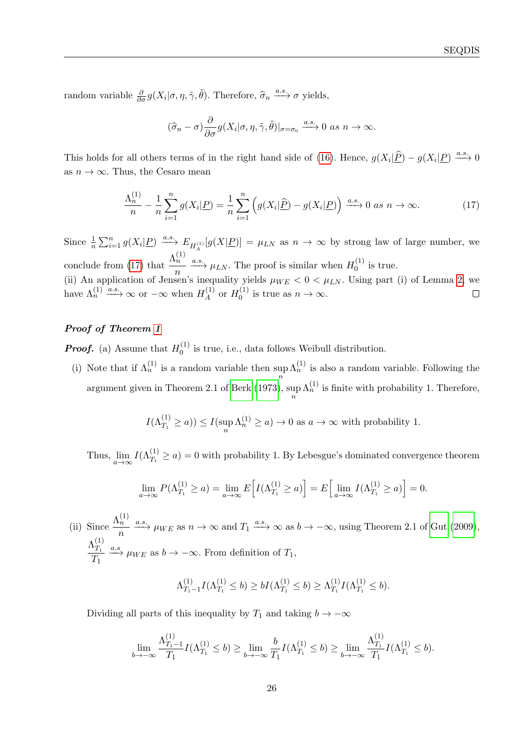random variable  $\frac{\partial}{\partial \sigma} g(X_i | \sigma, \eta, \tilde{\gamma}, \tilde{\theta})$ . Therefore,  $\hat{\sigma}_n \xrightarrow{a.s.} \sigma$  yields,

<span id="page-25-0"></span>
$$
(\widehat{\sigma}_n-\sigma)\frac{\partial}{\partial\sigma}g(X_i|\sigma,\eta,\tilde{\gamma},\tilde{\theta})|_{\sigma=\sigma_0}\xrightarrow{a.s.} 0 \text{ as } n\to\infty.
$$

This holds for all others terms of in the right hand side of [\(16\)](#page-24-1). Hence,  $g(X_i|\hat{P}) - g(X_i|P) \xrightarrow{a.s.} 0$ as  $n \to \infty$ . Thus, the Cesaro mean

$$
\frac{\Lambda_n^{(1)}}{n} - \frac{1}{n} \sum_{i=1}^n g(X_i | \underline{P}) = \frac{1}{n} \sum_{i=1}^n \left( g(X_i | \widehat{\underline{P}}) - g(X_i | \underline{P}) \right) \xrightarrow{a.s.} 0 \text{ as } n \to \infty. \tag{17}
$$

Since  $\frac{1}{n}\sum_{i=1}^n g(X_i|\underline{P}) \xrightarrow{a.s.} E_{H_A^{(1)}}[g(X|\underline{P})] = \mu_{LN}$  as  $n \to \infty$  by strong law of large number, we conclude from [\(17\)](#page-25-0) that  $\frac{\Lambda_n^{(1)}}{n}$  $\frac{h}{n} \xrightarrow{a.s.} \mu_{LN}$ . The proof is similar when  $H_0^{(1)}$  $\int_0^{(1)}$  is true. (ii) An application of Jensen's inequality yields  $\mu_{WE} < 0 < \mu_{LN}$ . Using part (i) of Lemma [2,](#page-6-1) we have  $\Lambda_n^{(1)} \xrightarrow{a.s.} \infty$  or  $-\infty$  when  $H_A^{(1)}$  $\frac{1}{A}$  or  $H_0^{(1)}$  $\Box$  $v_0^{(1)}$  is true as  $n \to \infty$ .

## Proof of Theorem [1](#page-6-0)

**Proof.** (a) Assume that  $H_0^{(1)}$  $\binom{1}{0}$  is true, i.e., data follows Weibull distribution.

(i) Note that if  $\Lambda_n^{(1)}$  is a random variable then sup  $\Lambda_n^{(1)}$  is also a random variable. Following the n argument given in Theorem 2.1 of [Berk](#page-27-16) [\(1973\)](#page-27-16), sup n  $\Lambda_n^{(1)}$  is finite with probability 1. Therefore,

$$
I(\Lambda_{T_1}^{(1)} \ge a)) \le I(\sup_n \Lambda_n^{(1)} \ge a) \to 0
$$
 as  $a \to \infty$  with probability 1.

Thus,  $\lim_{a\to\infty} I(\Lambda_{T_1}^{(1)} \ge a) = 0$  with probability 1. By Lebesgue's dominated convergence theorem

$$
\lim_{a \to \infty} P(\Lambda_{T_1}^{(1)} \ge a) = \lim_{a \to \infty} E\Big[I(\Lambda_{T_1}^{(1)} \ge a)\Big] = E\Big[\lim_{a \to \infty} I(\Lambda_{T_1}^{(1)} \ge a)\Big] = 0.
$$

(ii) Since  $\frac{\Lambda_n^{(1)}}{n}$  $\frac{\partial h}{\partial n}$   $\xrightarrow{a.s.} \mu_{WE}$  as  $n \to \infty$  and  $T_1 \xrightarrow{a.s.} \infty$  as  $b \to -\infty$ , using Theorem 2.1 of [Gut](#page-27-18) [\(2009\)](#page-27-18),  $\Lambda^{(1)}_{T_{\text{a}}}$  $T_1$  $\frac{\Delta T_1}{T_1} \xrightarrow{a.s} \mu_{WE}$  as  $b \to -\infty$ . From definition of  $T_1$ ,

$$
\Lambda_{T_1-1}^{(1)}I(\Lambda_{T_1}^{(1)} \le b) \ge bI(\Lambda_{T_1}^{(1)} \le b) \ge \Lambda_{T_1}^{(1)}I(\Lambda_{T_1}^{(1)} \le b).
$$

Dividing all parts of this inequality by  $T_1$  and taking  $b \to -\infty$ 

$$
\lim_{b \to -\infty} \frac{\Lambda_{T_1 - 1}^{(1)}}{T_1} I(\Lambda_{T_1}^{(1)} \le b) \ge \lim_{b \to -\infty} \frac{b}{T_1} I(\Lambda_{T_1}^{(1)} \le b) \ge \lim_{b \to -\infty} \frac{\Lambda_{T_1}^{(1)}}{T_1} I(\Lambda_{T_1}^{(1)} \le b).
$$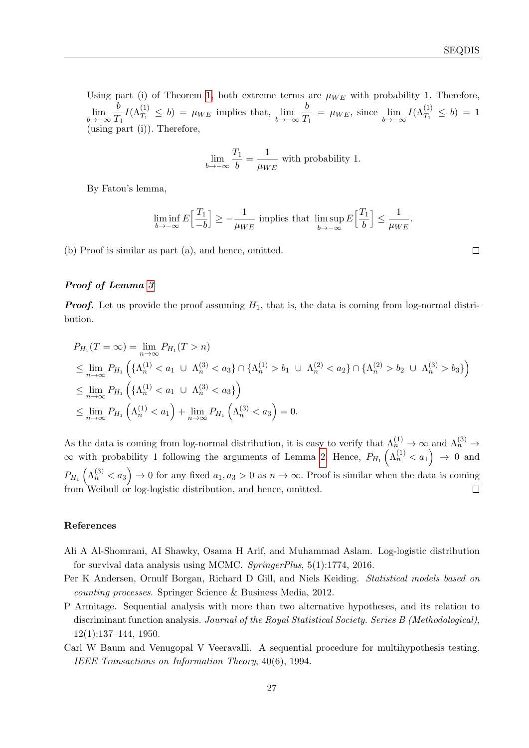Using part (i) of Theorem [1,](#page-6-0) both extreme terms are  $\mu_{WE}$  with probability 1. Therefore, lim b→−∞ b  $T_1$  $I(\Lambda_{T_1}^{(1)} \leq b) = \mu_{WE}$  implies that,  $\lim_{b \to -\infty}$ b  $\frac{b}{T_1} = \mu_{WE}$ , since  $\lim_{b \to -\infty} I(\Lambda_{T_1}^{(1)} \le b) = 1$ using part  $(i)$ ). Therefore,

$$
\lim_{b \to -\infty} \frac{T_1}{b} = \frac{1}{\mu_{WE}} \text{ with probability 1.}
$$

By Fatou's lemma,

$$
\liminf_{b \to -\infty} E\Big[\frac{T_1}{-b}\Big] \ge -\frac{1}{\mu_{WE}} \text{ implies that } \limsup_{b \to -\infty} E\Big[\frac{T_1}{b}\Big] \le \frac{1}{\mu_{WE}}.
$$

(b) Proof is similar as part (a), and hence, omitted.

## Proof of Lemma [3](#page-10-2)

**Proof.** Let us provide the proof assuming  $H_1$ , that is, the data is coming from log-normal distribution.

$$
P_{H_1}(T = \infty) = \lim_{n \to \infty} P_{H_1}(T > n)
$$
  
\n
$$
\leq \lim_{n \to \infty} P_{H_1} \left( {\Lambda_n^{(1)} < a_1 \cup \Lambda_n^{(3)} < a_3} \cap {\Lambda_n^{(1)} > b_1 \cup \Lambda_n^{(2)} < a_2} \cap {\Lambda_n^{(2)} > b_2 \cup \Lambda_n^{(3)} > b_3} \right)
$$
  
\n
$$
\leq \lim_{n \to \infty} P_{H_1} \left( {\Lambda_n^{(1)} < a_1 \cup \Lambda_n^{(3)} < a_3} \right)
$$
  
\n
$$
\leq \lim_{n \to \infty} P_{H_1} \left( {\Lambda_n^{(1)} < a_1} \right) + \lim_{n \to \infty} P_{H_1} \left( {\Lambda_n^{(3)} < a_3} \right) = 0.
$$

As the data is coming from log-normal distribution, it is easy to verify that  $\Lambda_n^{(1)} \to \infty$  and  $\Lambda_n^{(3)} \to$  $\infty$  with probability 1 following the arguments of Lemma [2.](#page-6-1) Hence,  $P_{H_1}(\Lambda_n^{(1)} < a_1) \to 0$  and  $P_{H_1}(\Lambda_n^{(3)} < a_3) \to 0$  for any fixed  $a_1, a_3 > 0$  as  $n \to \infty$ . Proof is similar when the data is coming from Weibull or log-logistic distribution, and hence, omitted.  $\Box$ 

#### References

- <span id="page-26-3"></span>Ali A Al-Shomrani, AI Shawky, Osama H Arif, and Muhammad Aslam. Log-logistic distribution for survival data analysis using MCMC. SpringerPlus, 5(1):1774, 2016.
- <span id="page-26-0"></span>Per K Andersen, Ornulf Borgan, Richard D Gill, and Niels Keiding. Statistical models based on counting processes. Springer Science & Business Media, 2012.
- <span id="page-26-1"></span>P Armitage. Sequential analysis with more than two alternative hypotheses, and its relation to discriminant function analysis. Journal of the Royal Statistical Society. Series B (Methodological),  $12(1):137-144$ , 1950.
- <span id="page-26-2"></span>Carl W Baum and Venugopal V Veeravalli. A sequential procedure for multihypothesis testing. IEEE Transactions on Information Theory, 40(6), 1994.

 $\Box$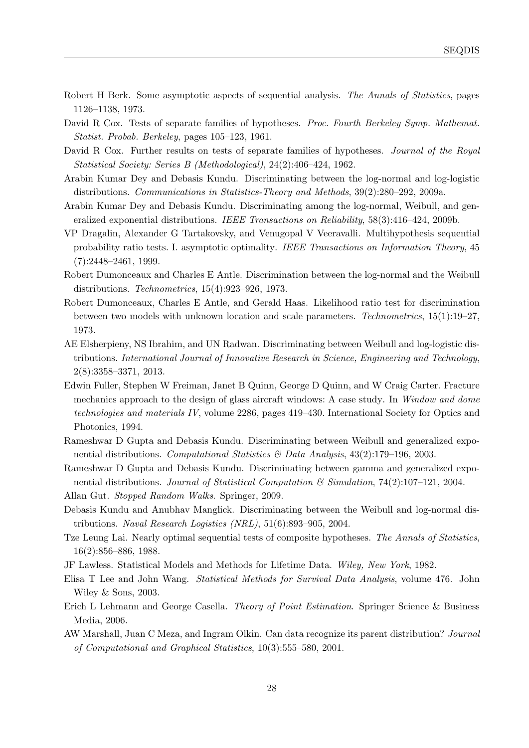- <span id="page-27-16"></span>Robert H Berk. Some asymptotic aspects of sequential analysis. The Annals of Statistics, pages 1126–1138, 1973.
- <span id="page-27-3"></span>David R Cox. Tests of separate families of hypotheses. Proc. Fourth Berkeley Symp. Mathemat. Statist. Probab. Berkeley, pages 105–123, 1961.
- <span id="page-27-4"></span>David R Cox. Further results on tests of separate families of hypotheses. Journal of the Royal Statistical Society: Series B (Methodological), 24(2):406–424, 1962.
- <span id="page-27-5"></span>Arabin Kumar Dey and Debasis Kundu. Discriminating between the log-normal and log-logistic distributions. Communications in Statistics-Theory and Methods, 39(2):280–292, 2009a.
- <span id="page-27-1"></span>Arabin Kumar Dey and Debasis Kundu. Discriminating among the log-normal, Weibull, and generalized exponential distributions. IEEE Transactions on Reliability, 58(3):416–424, 2009b.
- <span id="page-27-17"></span>VP Dragalin, Alexander G Tartakovsky, and Venugopal V Veeravalli. Multihypothesis sequential probability ratio tests. I. asymptotic optimality. IEEE Transactions on Information Theory, 45 (7):2448–2461, 1999.
- <span id="page-27-14"></span>Robert Dumonceaux and Charles E Antle. Discrimination between the log-normal and the Weibull distributions. Technometrics, 15(4):923–926, 1973.
- <span id="page-27-15"></span>Robert Dumonceaux, Charles E Antle, and Gerald Haas. Likelihood ratio test for discrimination between two models with unknown location and scale parameters. Technometrics, 15(1):19–27, 1973.
- <span id="page-27-10"></span>AE Elsherpieny, NS Ibrahim, and UN Radwan. Discriminating between Weibull and log-logistic distributions. International Journal of Innovative Research in Science, Engineering and Technology, 2(8):3358–3371, 2013.
- <span id="page-27-12"></span>Edwin Fuller, Stephen W Freiman, Janet B Quinn, George D Quinn, and W Craig Carter. Fracture mechanics approach to the design of glass aircraft windows: A case study. In Window and dome technologies and materials IV, volume 2286, pages 419–430. International Society for Optics and Photonics, 1994.
- <span id="page-27-7"></span>Rameshwar D Gupta and Debasis Kundu. Discriminating between Weibull and generalized exponential distributions. Computational Statistics & Data Analysis, 43(2):179–196, 2003.
- <span id="page-27-8"></span>Rameshwar D Gupta and Debasis Kundu. Discriminating between gamma and generalized exponential distributions. Journal of Statistical Computation  $\mathscr B$  Simulation, 74(2):107–121, 2004. Allan Gut. Stopped Random Walks. Springer, 2009.
- <span id="page-27-18"></span><span id="page-27-9"></span>Debasis Kundu and Anubhav Manglick. Discriminating between the Weibull and log-normal distributions. Naval Research Logistics (NRL), 51(6):893–905, 2004.
- <span id="page-27-13"></span>Tze Leung Lai. Nearly optimal sequential tests of composite hypotheses. The Annals of Statistics, 16(2):856–886, 1988.
- <span id="page-27-11"></span>JF Lawless. Statistical Models and Methods for Lifetime Data. Wiley, New York, 1982.
- <span id="page-27-2"></span>Elisa T Lee and John Wang. Statistical Methods for Survival Data Analysis, volume 476. John Wiley & Sons, 2003.
- <span id="page-27-6"></span>Erich L Lehmann and George Casella. Theory of Point Estimation. Springer Science & Business Media, 2006.
- <span id="page-27-0"></span>AW Marshall, Juan C Meza, and Ingram Olkin. Can data recognize its parent distribution? Journal of Computational and Graphical Statistics, 10(3):555–580, 2001.